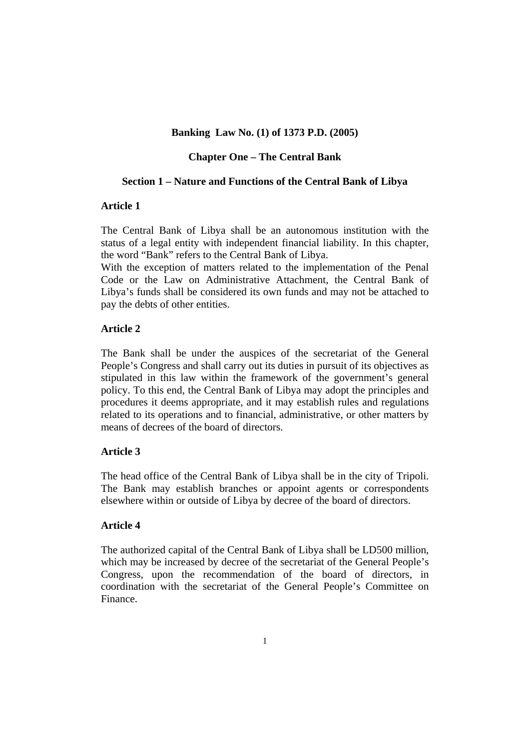## **Banking Law No. (1) of 1373 P.D. (2005)**

## **Chapter One – The Central Bank**

### **Section 1 – Nature and Functions of the Central Bank of Libya**

# **Article 1**

The Central Bank of Libya shall be an autonomous institution with the status of a legal entity with independent financial liability. In this chapter, the word "Bank" refers to the Central Bank of Libya.

With the exception of matters related to the implementation of the Penal Code or the Law on Administrative Attachment, the Central Bank of Libya's funds shall be considered its own funds and may not be attached to pay the debts of other entities.

# **Article 2**

The Bank shall be under the auspices of the secretariat of the General People's Congress and shall carry out its duties in pursuit of its objectives as stipulated in this law within the framework of the government's general policy. To this end, the Central Bank of Libya may adopt the principles and procedures it deems appropriate, and it may establish rules and regulations related to its operations and to financial, administrative, or other matters by means of decrees of the board of directors.

### **Article 3**

The head office of the Central Bank of Libya shall be in the city of Tripoli. The Bank may establish branches or appoint agents or correspondents elsewhere within or outside of Libya by decree of the board of directors.

# **Article 4**

The authorized capital of the Central Bank of Libya shall be LD500 million, which may be increased by decree of the secretariat of the General People's Congress, upon the recommendation of the board of directors, in coordination with the secretariat of the General People's Committee on Finance.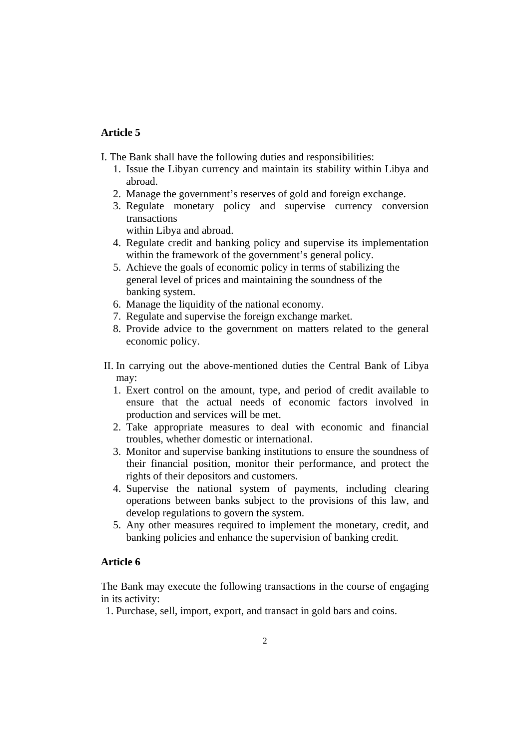- I. The Bank shall have the following duties and responsibilities:
	- 1. Issue the Libyan currency and maintain its stability within Libya and abroad.
	- 2. Manage the government's reserves of gold and foreign exchange.
	- 3. Regulate monetary policy and supervise currency conversion transactions

within Libya and abroad.

- 4. Regulate credit and banking policy and supervise its implementation within the framework of the government's general policy.
- 5. Achieve the goals of economic policy in terms of stabilizing the general level of prices and maintaining the soundness of the banking system.
- 6. Manage the liquidity of the national economy.
- 7. Regulate and supervise the foreign exchange market.
- 8. Provide advice to the government on matters related to the general economic policy.
- II. In carrying out the above-mentioned duties the Central Bank of Libya may:
	- 1. Exert control on the amount, type, and period of credit available to ensure that the actual needs of economic factors involved in production and services will be met.
	- 2. Take appropriate measures to deal with economic and financial troubles, whether domestic or international.
	- 3. Monitor and supervise banking institutions to ensure the soundness of their financial position, monitor their performance, and protect the rights of their depositors and customers.
	- 4. Supervise the national system of payments, including clearing operations between banks subject to the provisions of this law, and develop regulations to govern the system.
	- 5. Any other measures required to implement the monetary, credit, and banking policies and enhance the supervision of banking credit.

### **Article 6**

The Bank may execute the following transactions in the course of engaging in its activity:

1. Purchase, sell, import, export, and transact in gold bars and coins.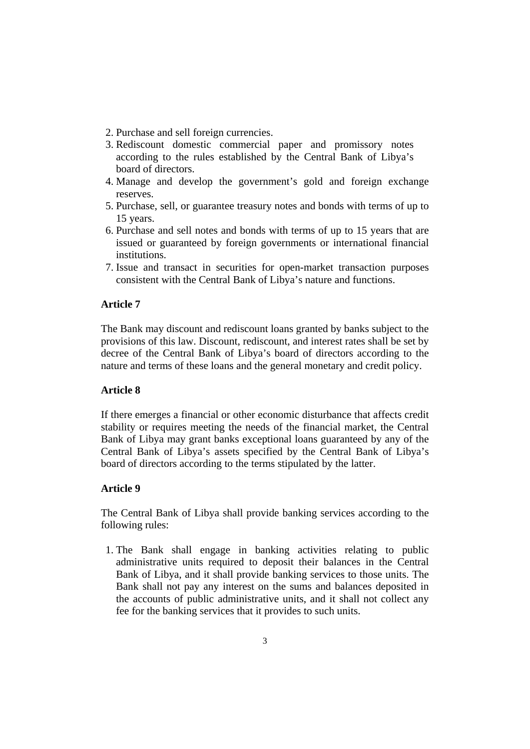- 2. Purchase and sell foreign currencies.
- 3. Rediscount domestic commercial paper and promissory notes according to the rules established by the Central Bank of Libya's board of directors.
- 4. Manage and develop the government's gold and foreign exchange reserves.
- 5. Purchase, sell, or guarantee treasury notes and bonds with terms of up to 15 years.
- 6. Purchase and sell notes and bonds with terms of up to 15 years that are issued or guaranteed by foreign governments or international financial institutions.
- 7. Issue and transact in securities for open-market transaction purposes consistent with the Central Bank of Libya's nature and functions.

The Bank may discount and rediscount loans granted by banks subject to the provisions of this law. Discount, rediscount, and interest rates shall be set by decree of the Central Bank of Libya's board of directors according to the nature and terms of these loans and the general monetary and credit policy.

# **Article 8**

If there emerges a financial or other economic disturbance that affects credit stability or requires meeting the needs of the financial market, the Central Bank of Libya may grant banks exceptional loans guaranteed by any of the Central Bank of Libya's assets specified by the Central Bank of Libya's board of directors according to the terms stipulated by the latter.

# **Article 9**

The Central Bank of Libya shall provide banking services according to the following rules:

 1. The Bank shall engage in banking activities relating to public administrative units required to deposit their balances in the Central Bank of Libya, and it shall provide banking services to those units. The Bank shall not pay any interest on the sums and balances deposited in the accounts of public administrative units, and it shall not collect any fee for the banking services that it provides to such units.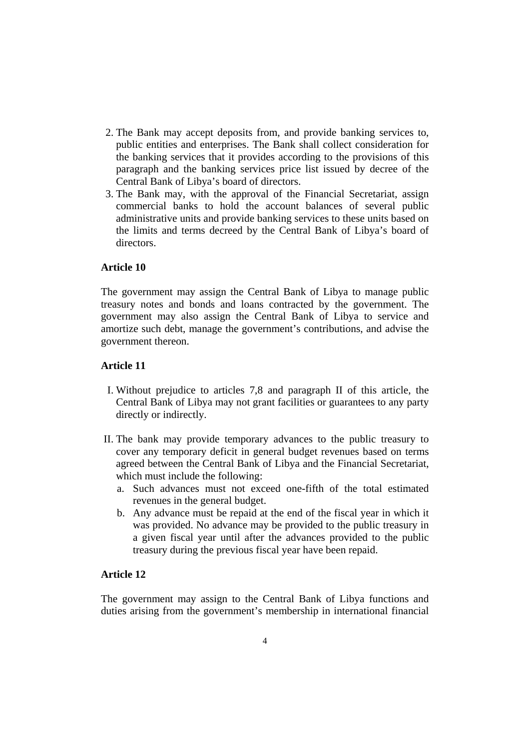- 2. The Bank may accept deposits from, and provide banking services to, public entities and enterprises. The Bank shall collect consideration for the banking services that it provides according to the provisions of this paragraph and the banking services price list issued by decree of the Central Bank of Libya's board of directors.
- 3. The Bank may, with the approval of the Financial Secretariat, assign commercial banks to hold the account balances of several public administrative units and provide banking services to these units based on the limits and terms decreed by the Central Bank of Libya's board of directors.

The government may assign the Central Bank of Libya to manage public treasury notes and bonds and loans contracted by the government. The government may also assign the Central Bank of Libya to service and amortize such debt, manage the government's contributions, and advise the government thereon.

# **Article 11**

- I. Without prejudice to articles 7,8 and paragraph II of this article, the Central Bank of Libya may not grant facilities or guarantees to any party directly or indirectly.
- II. The bank may provide temporary advances to the public treasury to cover any temporary deficit in general budget revenues based on terms agreed between the Central Bank of Libya and the Financial Secretariat, which must include the following:
	- a. Such advances must not exceed one-fifth of the total estimated revenues in the general budget.
	- b. Any advance must be repaid at the end of the fiscal year in which it was provided. No advance may be provided to the public treasury in a given fiscal year until after the advances provided to the public treasury during the previous fiscal year have been repaid.

# **Article 12**

The government may assign to the Central Bank of Libya functions and duties arising from the government's membership in international financial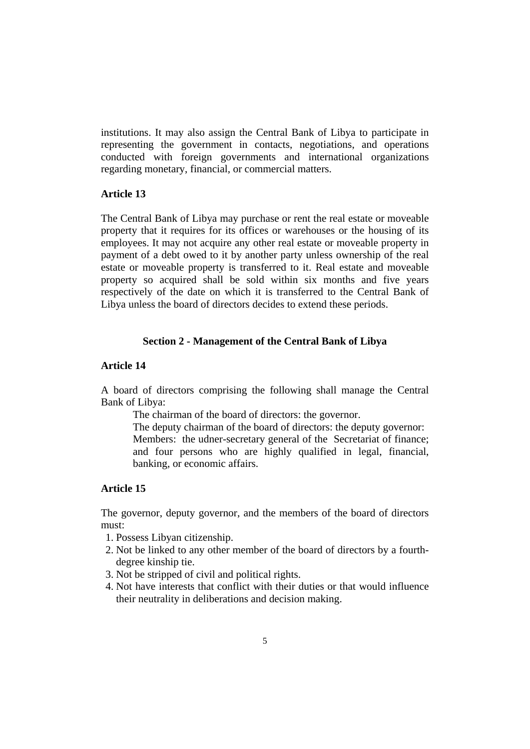institutions. It may also assign the Central Bank of Libya to participate in representing the government in contacts, negotiations, and operations conducted with foreign governments and international organizations regarding monetary, financial, or commercial matters.

# **Article 13**

The Central Bank of Libya may purchase or rent the real estate or moveable property that it requires for its offices or warehouses or the housing of its employees. It may not acquire any other real estate or moveable property in payment of a debt owed to it by another party unless ownership of the real estate or moveable property is transferred to it. Real estate and moveable property so acquired shall be sold within six months and five years respectively of the date on which it is transferred to the Central Bank of Libya unless the board of directors decides to extend these periods.

# **Section 2 - Management of the Central Bank of Libya**

# **Article 14**

A board of directors comprising the following shall manage the Central Bank of Libya:

The chairman of the board of directors: the governor.

The deputy chairman of the board of directors: the deputy governor: Members: the udner-secretary general of the Secretariat of finance; and four persons who are highly qualified in legal, financial, banking, or economic affairs.

# **Article 15**

The governor, deputy governor, and the members of the board of directors must:

- 1. Possess Libyan citizenship.
- 2. Not be linked to any other member of the board of directors by a fourthdegree kinship tie.
- 3. Not be stripped of civil and political rights.
- 4. Not have interests that conflict with their duties or that would influence their neutrality in deliberations and decision making.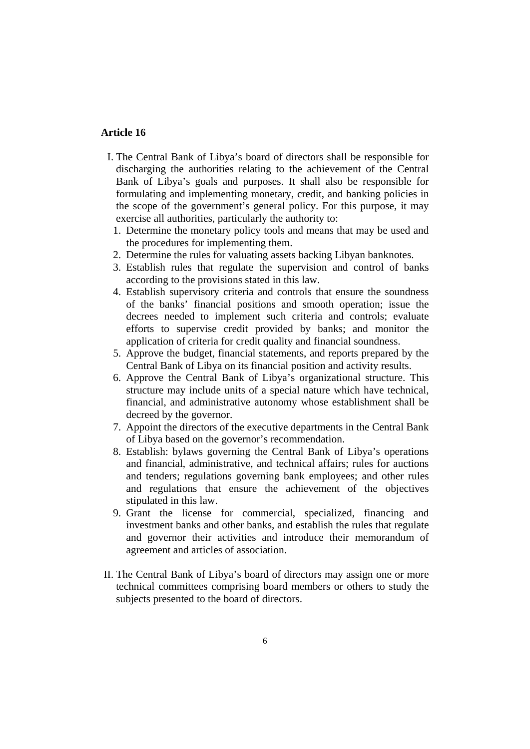- I. The Central Bank of Libya's board of directors shall be responsible for discharging the authorities relating to the achievement of the Central Bank of Libya's goals and purposes. It shall also be responsible for formulating and implementing monetary, credit, and banking policies in the scope of the government's general policy. For this purpose, it may exercise all authorities, particularly the authority to:
	- 1. Determine the monetary policy tools and means that may be used and the procedures for implementing them.
	- 2. Determine the rules for valuating assets backing Libyan banknotes.
	- 3. Establish rules that regulate the supervision and control of banks according to the provisions stated in this law.
	- 4. Establish supervisory criteria and controls that ensure the soundness of the banks' financial positions and smooth operation; issue the decrees needed to implement such criteria and controls; evaluate efforts to supervise credit provided by banks; and monitor the application of criteria for credit quality and financial soundness.
	- 5. Approve the budget, financial statements, and reports prepared by the Central Bank of Libya on its financial position and activity results.
	- 6. Approve the Central Bank of Libya's organizational structure. This structure may include units of a special nature which have technical, financial, and administrative autonomy whose establishment shall be decreed by the governor.
	- 7. Appoint the directors of the executive departments in the Central Bank of Libya based on the governor's recommendation.
	- 8. Establish: bylaws governing the Central Bank of Libya's operations and financial, administrative, and technical affairs; rules for auctions and tenders; regulations governing bank employees; and other rules and regulations that ensure the achievement of the objectives stipulated in this law.
	- 9. Grant the license for commercial, specialized, financing and investment banks and other banks, and establish the rules that regulate and governor their activities and introduce their memorandum of agreement and articles of association.
- II. The Central Bank of Libya's board of directors may assign one or more technical committees comprising board members or others to study the subjects presented to the board of directors.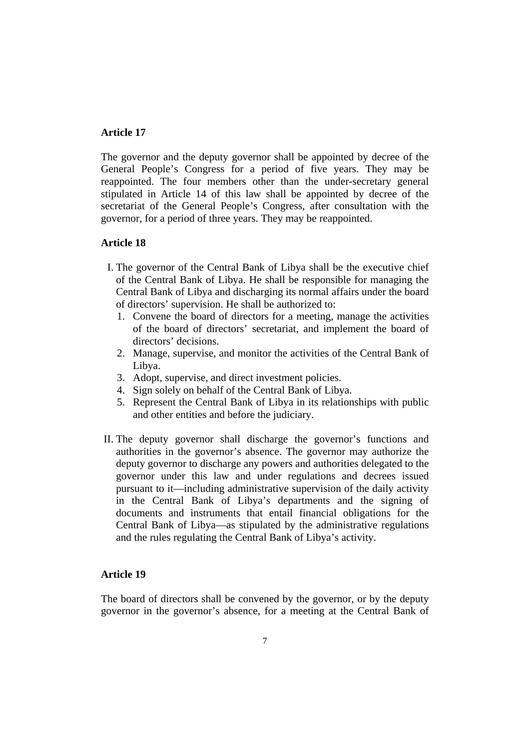The governor and the deputy governor shall be appointed by decree of the General People's Congress for a period of five years. They may be reappointed. The four members other than the under-secretary general stipulated in Article 14 of this law shall be appointed by decree of the secretariat of the General People's Congress, after consultation with the governor, for a period of three years. They may be reappointed.

### **Article 18**

- I. The governor of the Central Bank of Libya shall be the executive chief of the Central Bank of Libya. He shall be responsible for managing the Central Bank of Libya and discharging its normal affairs under the board of directors' supervision. He shall be authorized to:
	- 1. Convene the board of directors for a meeting, manage the activities of the board of directors' secretariat, and implement the board of directors' decisions.
	- 2. Manage, supervise, and monitor the activities of the Central Bank of Libya.
	- 3. Adopt, supervise, and direct investment policies.
	- 4. Sign solely on behalf of the Central Bank of Libya.
	- 5. Represent the Central Bank of Libya in its relationships with public and other entities and before the judiciary.
- II. The deputy governor shall discharge the governor's functions and authorities in the governor's absence. The governor may authorize the deputy governor to discharge any powers and authorities delegated to the governor under this law and under regulations and decrees issued pursuant to it—including administrative supervision of the daily activity in the Central Bank of Libya's departments and the signing of documents and instruments that entail financial obligations for the Central Bank of Libya—as stipulated by the administrative regulations and the rules regulating the Central Bank of Libya's activity.

### **Article 19**

The board of directors shall be convened by the governor, or by the deputy governor in the governor's absence, for a meeting at the Central Bank of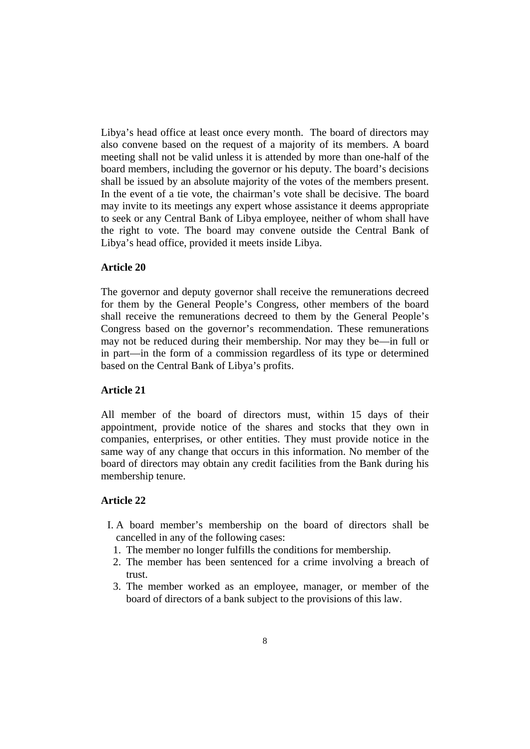Libya's head office at least once every month. The board of directors may also convene based on the request of a majority of its members. A board meeting shall not be valid unless it is attended by more than one-half of the board members, including the governor or his deputy. The board's decisions shall be issued by an absolute majority of the votes of the members present. In the event of a tie vote, the chairman's vote shall be decisive. The board may invite to its meetings any expert whose assistance it deems appropriate to seek or any Central Bank of Libya employee, neither of whom shall have the right to vote. The board may convene outside the Central Bank of Libya's head office, provided it meets inside Libya.

# **Article 20**

The governor and deputy governor shall receive the remunerations decreed for them by the General People's Congress, other members of the board shall receive the remunerations decreed to them by the General People's Congress based on the governor's recommendation. These remunerations may not be reduced during their membership. Nor may they be—in full or in part—in the form of a commission regardless of its type or determined based on the Central Bank of Libya's profits.

### **Article 21**

All member of the board of directors must, within 15 days of their appointment, provide notice of the shares and stocks that they own in companies, enterprises, or other entities. They must provide notice in the same way of any change that occurs in this information. No member of the board of directors may obtain any credit facilities from the Bank during his membership tenure.

- I. A board member's membership on the board of directors shall be cancelled in any of the following cases:
	- 1. The member no longer fulfills the conditions for membership.
- 2. The member has been sentenced for a crime involving a breach of trust.
- 3. The member worked as an employee, manager, or member of the board of directors of a bank subject to the provisions of this law.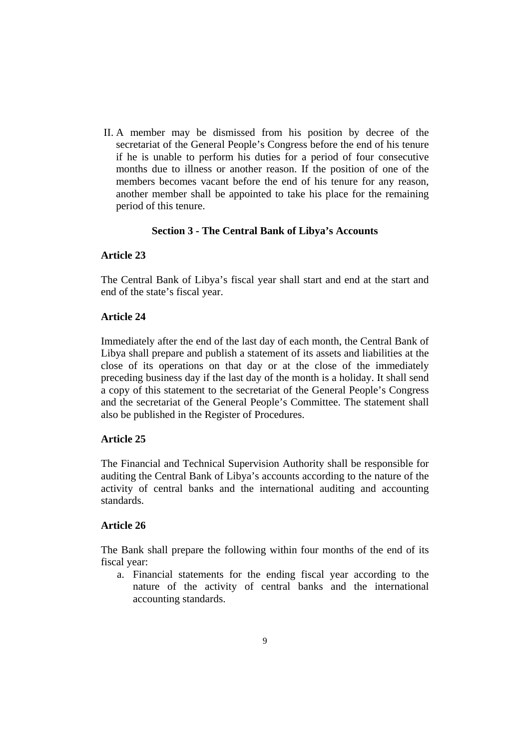II. A member may be dismissed from his position by decree of the secretariat of the General People's Congress before the end of his tenure if he is unable to perform his duties for a period of four consecutive months due to illness or another reason. If the position of one of the members becomes vacant before the end of his tenure for any reason, another member shall be appointed to take his place for the remaining period of this tenure.

# **Section 3 - The Central Bank of Libya's Accounts**

### **Article 23**

The Central Bank of Libya's fiscal year shall start and end at the start and end of the state's fiscal year.

# **Article 24**

Immediately after the end of the last day of each month, the Central Bank of Libya shall prepare and publish a statement of its assets and liabilities at the close of its operations on that day or at the close of the immediately preceding business day if the last day of the month is a holiday. It shall send a copy of this statement to the secretariat of the General People's Congress and the secretariat of the General People's Committee. The statement shall also be published in the Register of Procedures.

### **Article 25**

The Financial and Technical Supervision Authority shall be responsible for auditing the Central Bank of Libya's accounts according to the nature of the activity of central banks and the international auditing and accounting standards.

# **Article 26**

The Bank shall prepare the following within four months of the end of its fiscal year:

a. Financial statements for the ending fiscal year according to the nature of the activity of central banks and the international accounting standards.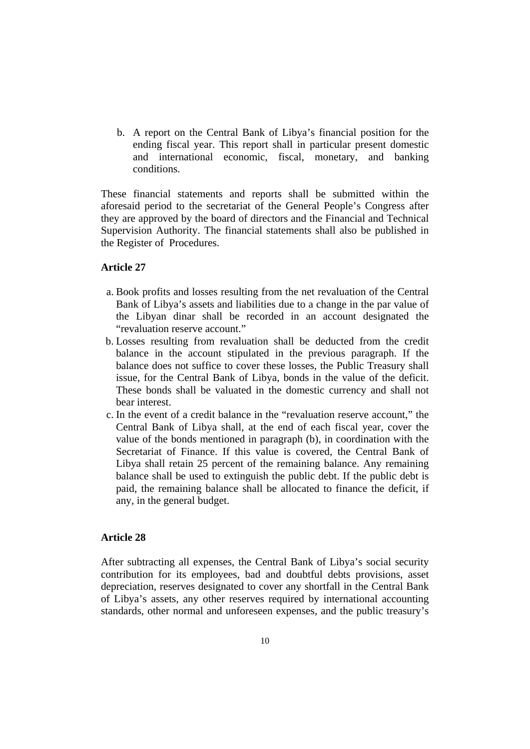b. A report on the Central Bank of Libya's financial position for the ending fiscal year. This report shall in particular present domestic and international economic, fiscal, monetary, and banking conditions.

These financial statements and reports shall be submitted within the aforesaid period to the secretariat of the General People's Congress after they are approved by the board of directors and the Financial and Technical Supervision Authority. The financial statements shall also be published in the Register of Procedures.

# **Article 27**

- a. Book profits and losses resulting from the net revaluation of the Central Bank of Libya's assets and liabilities due to a change in the par value of the Libyan dinar shall be recorded in an account designated the "revaluation reserve account."
- b. Losses resulting from revaluation shall be deducted from the credit balance in the account stipulated in the previous paragraph. If the balance does not suffice to cover these losses, the Public Treasury shall issue, for the Central Bank of Libya, bonds in the value of the deficit. These bonds shall be valuated in the domestic currency and shall not bear interest.
- c. In the event of a credit balance in the "revaluation reserve account," the Central Bank of Libya shall, at the end of each fiscal year, cover the value of the bonds mentioned in paragraph (b), in coordination with the Secretariat of Finance. If this value is covered, the Central Bank of Libya shall retain 25 percent of the remaining balance. Any remaining balance shall be used to extinguish the public debt. If the public debt is paid, the remaining balance shall be allocated to finance the deficit, if any, in the general budget.

## **Article 28**

After subtracting all expenses, the Central Bank of Libya's social security contribution for its employees, bad and doubtful debts provisions, asset depreciation, reserves designated to cover any shortfall in the Central Bank of Libya's assets, any other reserves required by international accounting standards, other normal and unforeseen expenses, and the public treasury's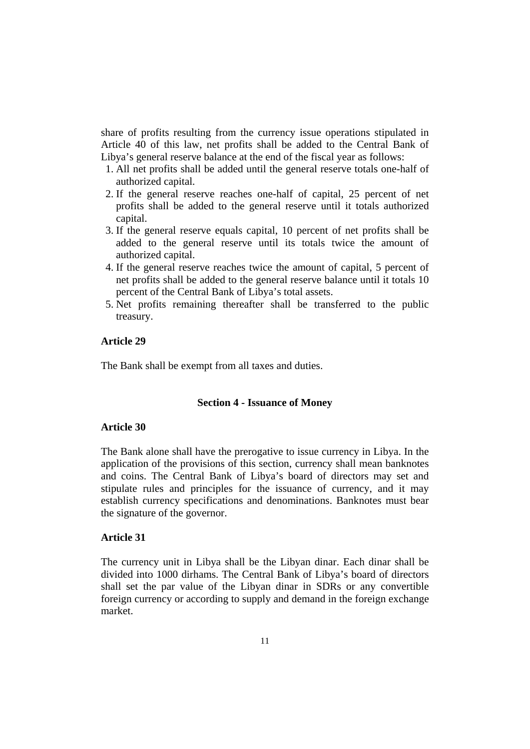share of profits resulting from the currency issue operations stipulated in Article 40 of this law, net profits shall be added to the Central Bank of Libya's general reserve balance at the end of the fiscal year as follows:

- 1. All net profits shall be added until the general reserve totals one-half of authorized capital.
- 2. If the general reserve reaches one-half of capital, 25 percent of net profits shall be added to the general reserve until it totals authorized capital.
- 3. If the general reserve equals capital, 10 percent of net profits shall be added to the general reserve until its totals twice the amount of authorized capital.
- 4. If the general reserve reaches twice the amount of capital, 5 percent of net profits shall be added to the general reserve balance until it totals 10 percent of the Central Bank of Libya's total assets.
- 5. Net profits remaining thereafter shall be transferred to the public treasury.

# **Article 29**

The Bank shall be exempt from all taxes and duties.

### **Section 4 - Issuance of Money**

### **Article 30**

The Bank alone shall have the prerogative to issue currency in Libya. In the application of the provisions of this section, currency shall mean banknotes and coins. The Central Bank of Libya's board of directors may set and stipulate rules and principles for the issuance of currency, and it may establish currency specifications and denominations. Banknotes must bear the signature of the governor.

#### **Article 31**

The currency unit in Libya shall be the Libyan dinar. Each dinar shall be divided into 1000 dirhams. The Central Bank of Libya's board of directors shall set the par value of the Libyan dinar in SDRs or any convertible foreign currency or according to supply and demand in the foreign exchange market.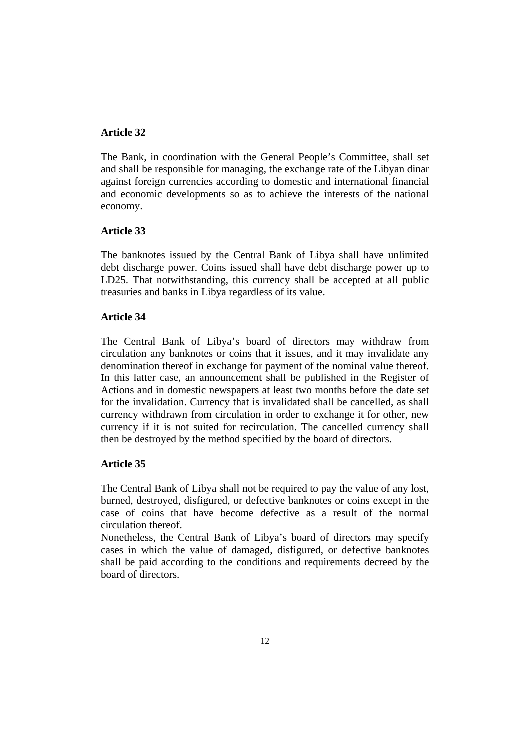The Bank, in coordination with the General People's Committee, shall set and shall be responsible for managing, the exchange rate of the Libyan dinar against foreign currencies according to domestic and international financial and economic developments so as to achieve the interests of the national economy.

# **Article 33**

The banknotes issued by the Central Bank of Libya shall have unlimited debt discharge power. Coins issued shall have debt discharge power up to LD25. That notwithstanding, this currency shall be accepted at all public treasuries and banks in Libya regardless of its value.

## **Article 34**

The Central Bank of Libya's board of directors may withdraw from circulation any banknotes or coins that it issues, and it may invalidate any denomination thereof in exchange for payment of the nominal value thereof. In this latter case, an announcement shall be published in the Register of Actions and in domestic newspapers at least two months before the date set for the invalidation. Currency that is invalidated shall be cancelled, as shall currency withdrawn from circulation in order to exchange it for other, new currency if it is not suited for recirculation. The cancelled currency shall then be destroyed by the method specified by the board of directors.

### **Article 35**

The Central Bank of Libya shall not be required to pay the value of any lost, burned, destroyed, disfigured, or defective banknotes or coins except in the case of coins that have become defective as a result of the normal circulation thereof.

Nonetheless, the Central Bank of Libya's board of directors may specify cases in which the value of damaged, disfigured, or defective banknotes shall be paid according to the conditions and requirements decreed by the board of directors.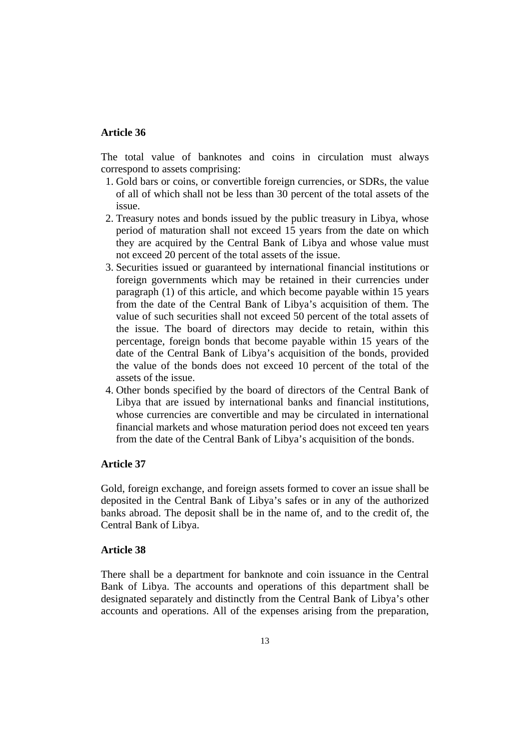The total value of banknotes and coins in circulation must always correspond to assets comprising:

- 1. Gold bars or coins, or convertible foreign currencies, or SDRs, the value of all of which shall not be less than 30 percent of the total assets of the issue.
- 2. Treasury notes and bonds issued by the public treasury in Libya, whose period of maturation shall not exceed 15 years from the date on which they are acquired by the Central Bank of Libya and whose value must not exceed 20 percent of the total assets of the issue.
- 3. Securities issued or guaranteed by international financial institutions or foreign governments which may be retained in their currencies under paragraph (1) of this article, and which become payable within 15 years from the date of the Central Bank of Libya's acquisition of them. The value of such securities shall not exceed 50 percent of the total assets of the issue. The board of directors may decide to retain, within this percentage, foreign bonds that become payable within 15 years of the date of the Central Bank of Libya's acquisition of the bonds, provided the value of the bonds does not exceed 10 percent of the total of the assets of the issue.
- 4. Other bonds specified by the board of directors of the Central Bank of Libya that are issued by international banks and financial institutions, whose currencies are convertible and may be circulated in international financial markets and whose maturation period does not exceed ten years from the date of the Central Bank of Libya's acquisition of the bonds.

# **Article 37**

Gold, foreign exchange, and foreign assets formed to cover an issue shall be deposited in the Central Bank of Libya's safes or in any of the authorized banks abroad. The deposit shall be in the name of, and to the credit of, the Central Bank of Libya.

# **Article 38**

There shall be a department for banknote and coin issuance in the Central Bank of Libya. The accounts and operations of this department shall be designated separately and distinctly from the Central Bank of Libya's other accounts and operations. All of the expenses arising from the preparation,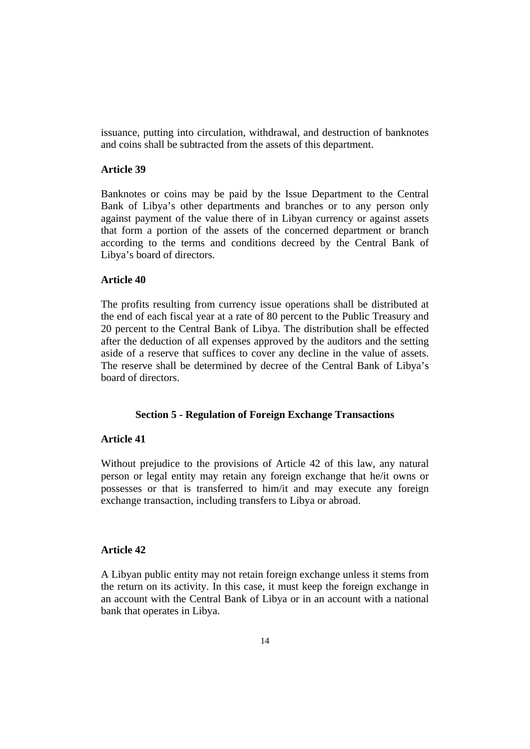issuance, putting into circulation, withdrawal, and destruction of banknotes and coins shall be subtracted from the assets of this department.

#### **Article 39**

Banknotes or coins may be paid by the Issue Department to the Central Bank of Libya's other departments and branches or to any person only against payment of the value there of in Libyan currency or against assets that form a portion of the assets of the concerned department or branch according to the terms and conditions decreed by the Central Bank of Libya's board of directors.

### **Article 40**

The profits resulting from currency issue operations shall be distributed at the end of each fiscal year at a rate of 80 percent to the Public Treasury and 20 percent to the Central Bank of Libya. The distribution shall be effected after the deduction of all expenses approved by the auditors and the setting aside of a reserve that suffices to cover any decline in the value of assets. The reserve shall be determined by decree of the Central Bank of Libya's board of directors.

### **Section 5 - Regulation of Foreign Exchange Transactions**

### **Article 41**

Without prejudice to the provisions of Article 42 of this law, any natural person or legal entity may retain any foreign exchange that he/it owns or possesses or that is transferred to him/it and may execute any foreign exchange transaction, including transfers to Libya or abroad.

## **Article 42**

A Libyan public entity may not retain foreign exchange unless it stems from the return on its activity. In this case, it must keep the foreign exchange in an account with the Central Bank of Libya or in an account with a national bank that operates in Libya.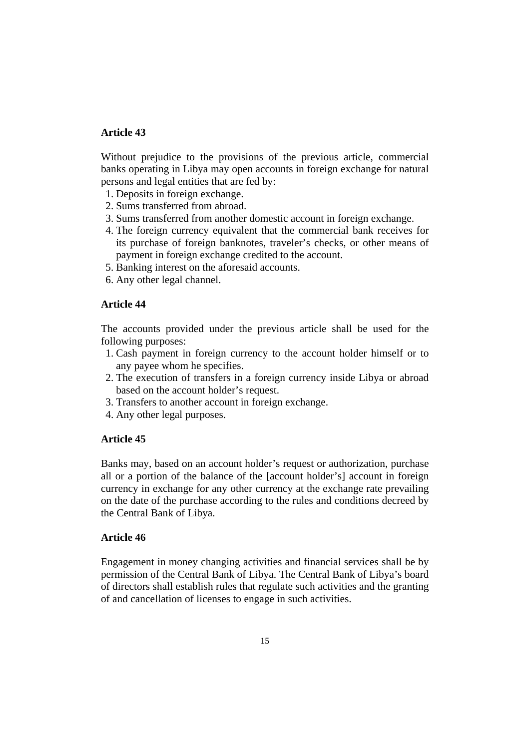Without prejudice to the provisions of the previous article, commercial banks operating in Libya may open accounts in foreign exchange for natural persons and legal entities that are fed by:

- 1. Deposits in foreign exchange.
- 2. Sums transferred from abroad.
- 3. Sums transferred from another domestic account in foreign exchange.
- 4. The foreign currency equivalent that the commercial bank receives for its purchase of foreign banknotes, traveler's checks, or other means of payment in foreign exchange credited to the account.
- 5. Banking interest on the aforesaid accounts.
- 6. Any other legal channel.

## **Article 44**

The accounts provided under the previous article shall be used for the following purposes:

- 1. Cash payment in foreign currency to the account holder himself or to any payee whom he specifies.
- 2. The execution of transfers in a foreign currency inside Libya or abroad based on the account holder's request.
- 3. Transfers to another account in foreign exchange.
- 4. Any other legal purposes.

### **Article 45**

Banks may, based on an account holder's request or authorization, purchase all or a portion of the balance of the [account holder's] account in foreign currency in exchange for any other currency at the exchange rate prevailing on the date of the purchase according to the rules and conditions decreed by the Central Bank of Libya.

### **Article 46**

Engagement in money changing activities and financial services shall be by permission of the Central Bank of Libya. The Central Bank of Libya's board of directors shall establish rules that regulate such activities and the granting of and cancellation of licenses to engage in such activities.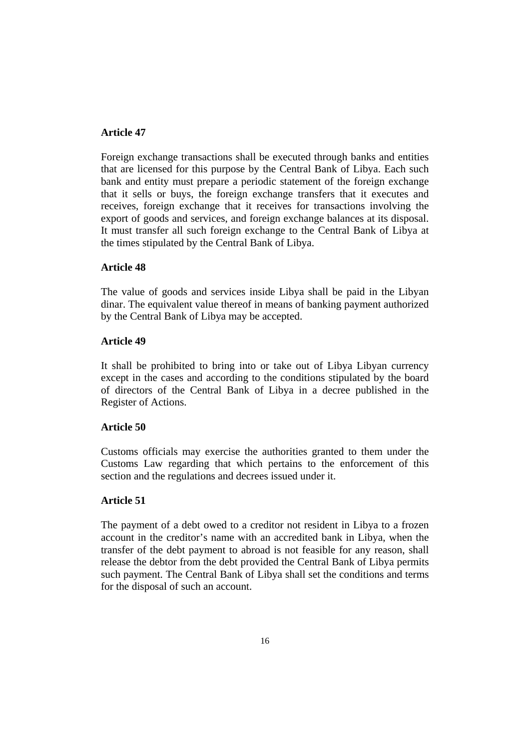Foreign exchange transactions shall be executed through banks and entities that are licensed for this purpose by the Central Bank of Libya. Each such bank and entity must prepare a periodic statement of the foreign exchange that it sells or buys, the foreign exchange transfers that it executes and receives, foreign exchange that it receives for transactions involving the export of goods and services, and foreign exchange balances at its disposal. It must transfer all such foreign exchange to the Central Bank of Libya at the times stipulated by the Central Bank of Libya.

# **Article 48**

The value of goods and services inside Libya shall be paid in the Libyan dinar. The equivalent value thereof in means of banking payment authorized by the Central Bank of Libya may be accepted.

# **Article 49**

It shall be prohibited to bring into or take out of Libya Libyan currency except in the cases and according to the conditions stipulated by the board of directors of the Central Bank of Libya in a decree published in the Register of Actions.

# **Article 50**

Customs officials may exercise the authorities granted to them under the Customs Law regarding that which pertains to the enforcement of this section and the regulations and decrees issued under it.

# **Article 51**

The payment of a debt owed to a creditor not resident in Libya to a frozen account in the creditor's name with an accredited bank in Libya, when the transfer of the debt payment to abroad is not feasible for any reason, shall release the debtor from the debt provided the Central Bank of Libya permits such payment. The Central Bank of Libya shall set the conditions and terms for the disposal of such an account.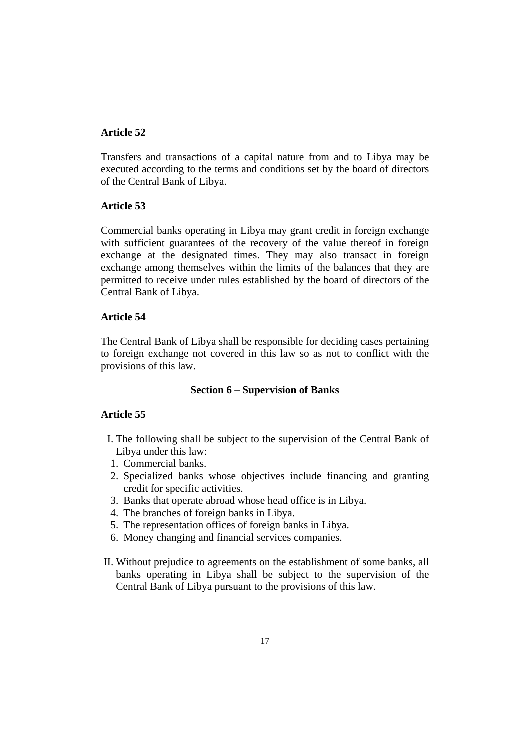Transfers and transactions of a capital nature from and to Libya may be executed according to the terms and conditions set by the board of directors of the Central Bank of Libya.

# **Article 53**

Commercial banks operating in Libya may grant credit in foreign exchange with sufficient guarantees of the recovery of the value thereof in foreign exchange at the designated times. They may also transact in foreign exchange among themselves within the limits of the balances that they are permitted to receive under rules established by the board of directors of the Central Bank of Libya.

# **Article 54**

The Central Bank of Libya shall be responsible for deciding cases pertaining to foreign exchange not covered in this law so as not to conflict with the provisions of this law.

### **Section 6 – Supervision of Banks**

- I. The following shall be subject to the supervision of the Central Bank of Libya under this law:
- 1. Commercial banks.
- 2. Specialized banks whose objectives include financing and granting credit for specific activities.
- 3. Banks that operate abroad whose head office is in Libya.
- 4. The branches of foreign banks in Libya.
- 5. The representation offices of foreign banks in Libya.
- 6. Money changing and financial services companies.
- II. Without prejudice to agreements on the establishment of some banks, all banks operating in Libya shall be subject to the supervision of the Central Bank of Libya pursuant to the provisions of this law.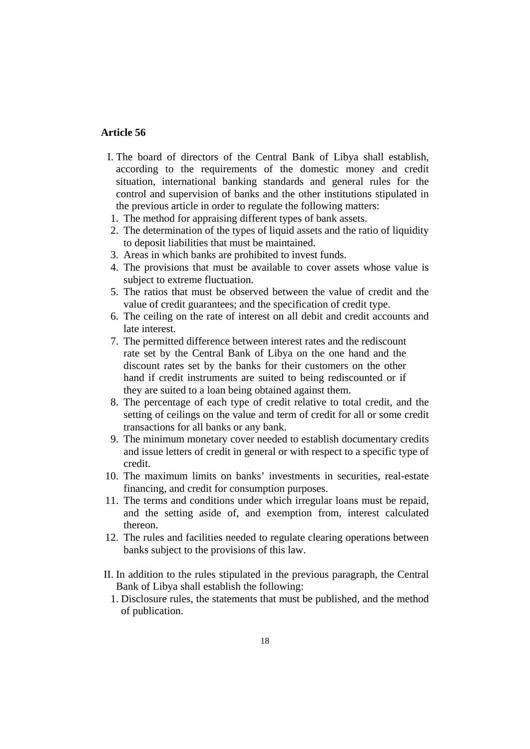- I. The board of directors of the Central Bank of Libya shall establish, according to the requirements of the domestic money and credit situation, international banking standards and general rules for the control and supervision of banks and the other institutions stipulated in the previous article in order to regulate the following matters:
- 1. The method for appraising different types of bank assets.
- 2. The determination of the types of liquid assets and the ratio of liquidity to deposit liabilities that must be maintained.
- 3. Areas in which banks are prohibited to invest funds.
- 4. The provisions that must be available to cover assets whose value is subject to extreme fluctuation.
- 5. The ratios that must be observed between the value of credit and the value of credit guarantees; and the specification of credit type.
- 6. The ceiling on the rate of interest on all debit and credit accounts and late interest.
- 7. The permitted difference between interest rates and the rediscount rate set by the Central Bank of Libya on the one hand and the discount rates set by the banks for their customers on the other hand if credit instruments are suited to being rediscounted or if they are suited to a loan being obtained against them.
- 8. The percentage of each type of credit relative to total credit, and the setting of ceilings on the value and term of credit for all or some credit transactions for all banks or any bank.
- 9. The minimum monetary cover needed to establish documentary credits and issue letters of credit in general or with respect to a specific type of credit.
- 10. The maximum limits on banks' investments in securities, real-estate financing, and credit for consumption purposes.
- 11. The terms and conditions under which irregular loans must be repaid, and the setting aside of, and exemption from, interest calculated thereon.
- 12. The rules and facilities needed to regulate clearing operations between banks subject to the provisions of this law.
- II. In addition to the rules stipulated in the previous paragraph, the Central Bank of Libya shall establish the following:
	- 1. Disclosure rules, the statements that must be published, and the method of publication.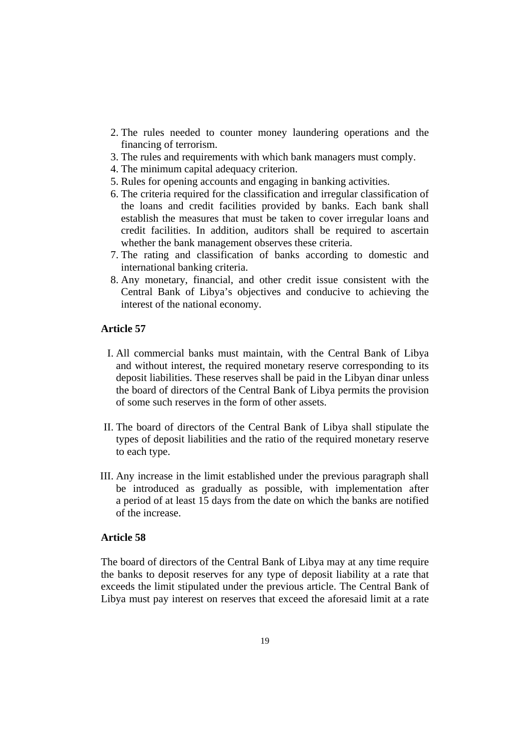- 2. The rules needed to counter money laundering operations and the financing of terrorism.
- 3. The rules and requirements with which bank managers must comply.
- 4. The minimum capital adequacy criterion.
- 5. Rules for opening accounts and engaging in banking activities.
- 6. The criteria required for the classification and irregular classification of the loans and credit facilities provided by banks. Each bank shall establish the measures that must be taken to cover irregular loans and credit facilities. In addition, auditors shall be required to ascertain whether the bank management observes these criteria.
- 7. The rating and classification of banks according to domestic and international banking criteria.
- 8. Any monetary, financial, and other credit issue consistent with the Central Bank of Libya's objectives and conducive to achieving the interest of the national economy.

- I. All commercial banks must maintain, with the Central Bank of Libya and without interest, the required monetary reserve corresponding to its deposit liabilities. These reserves shall be paid in the Libyan dinar unless the board of directors of the Central Bank of Libya permits the provision of some such reserves in the form of other assets.
- II. The board of directors of the Central Bank of Libya shall stipulate the types of deposit liabilities and the ratio of the required monetary reserve to each type.
- III. Any increase in the limit established under the previous paragraph shall be introduced as gradually as possible, with implementation after a period of at least 15 days from the date on which the banks are notified of the increase.

### **Article 58**

The board of directors of the Central Bank of Libya may at any time require the banks to deposit reserves for any type of deposit liability at a rate that exceeds the limit stipulated under the previous article. The Central Bank of Libya must pay interest on reserves that exceed the aforesaid limit at a rate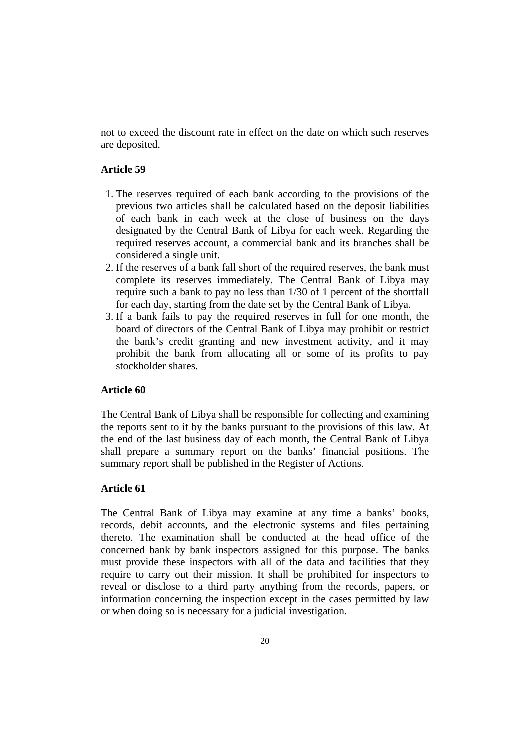not to exceed the discount rate in effect on the date on which such reserves are deposited.

# **Article 59**

- 1. The reserves required of each bank according to the provisions of the previous two articles shall be calculated based on the deposit liabilities of each bank in each week at the close of business on the days designated by the Central Bank of Libya for each week. Regarding the required reserves account, a commercial bank and its branches shall be considered a single unit.
- 2. If the reserves of a bank fall short of the required reserves, the bank must complete its reserves immediately. The Central Bank of Libya may require such a bank to pay no less than 1/30 of 1 percent of the shortfall for each day, starting from the date set by the Central Bank of Libya.
- 3. If a bank fails to pay the required reserves in full for one month, the board of directors of the Central Bank of Libya may prohibit or restrict the bank's credit granting and new investment activity, and it may prohibit the bank from allocating all or some of its profits to pay stockholder shares.

### **Article 60**

The Central Bank of Libya shall be responsible for collecting and examining the reports sent to it by the banks pursuant to the provisions of this law. At the end of the last business day of each month, the Central Bank of Libya shall prepare a summary report on the banks' financial positions. The summary report shall be published in the Register of Actions.

# **Article 61**

The Central Bank of Libya may examine at any time a banks' books, records, debit accounts, and the electronic systems and files pertaining thereto. The examination shall be conducted at the head office of the concerned bank by bank inspectors assigned for this purpose. The banks must provide these inspectors with all of the data and facilities that they require to carry out their mission. It shall be prohibited for inspectors to reveal or disclose to a third party anything from the records, papers, or information concerning the inspection except in the cases permitted by law or when doing so is necessary for a judicial investigation.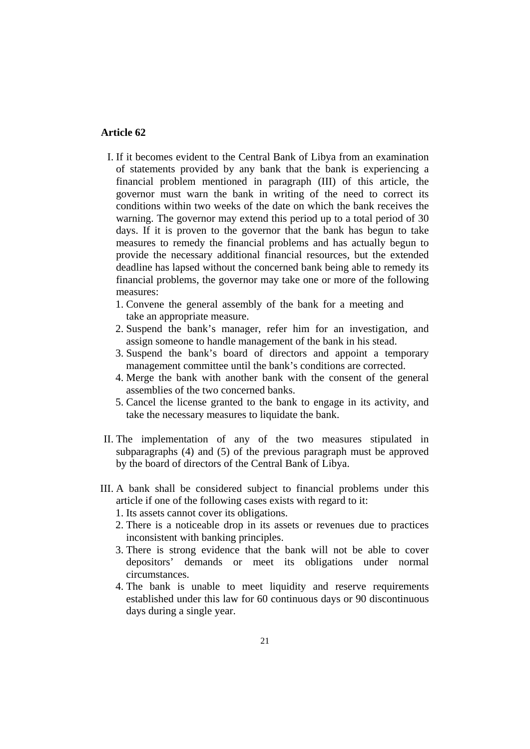- I. If it becomes evident to the Central Bank of Libya from an examination of statements provided by any bank that the bank is experiencing a financial problem mentioned in paragraph (III) of this article, the governor must warn the bank in writing of the need to correct its conditions within two weeks of the date on which the bank receives the warning. The governor may extend this period up to a total period of 30 days. If it is proven to the governor that the bank has begun to take measures to remedy the financial problems and has actually begun to provide the necessary additional financial resources, but the extended deadline has lapsed without the concerned bank being able to remedy its financial problems, the governor may take one or more of the following measures:
	- 1. Convene the general assembly of the bank for a meeting and take an appropriate measure.
	- 2. Suspend the bank's manager, refer him for an investigation, and assign someone to handle management of the bank in his stead.
	- 3. Suspend the bank's board of directors and appoint a temporary management committee until the bank's conditions are corrected.
	- 4. Merge the bank with another bank with the consent of the general assemblies of the two concerned banks.
	- 5. Cancel the license granted to the bank to engage in its activity, and take the necessary measures to liquidate the bank.
- II. The implementation of any of the two measures stipulated in subparagraphs (4) and (5) of the previous paragraph must be approved by the board of directors of the Central Bank of Libya.
- III. A bank shall be considered subject to financial problems under this article if one of the following cases exists with regard to it:
	- 1. Its assets cannot cover its obligations.
	- 2. There is a noticeable drop in its assets or revenues due to practices inconsistent with banking principles.
	- 3. There is strong evidence that the bank will not be able to cover depositors' demands or meet its obligations under normal circumstances.
	- 4. The bank is unable to meet liquidity and reserve requirements established under this law for 60 continuous days or 90 discontinuous days during a single year.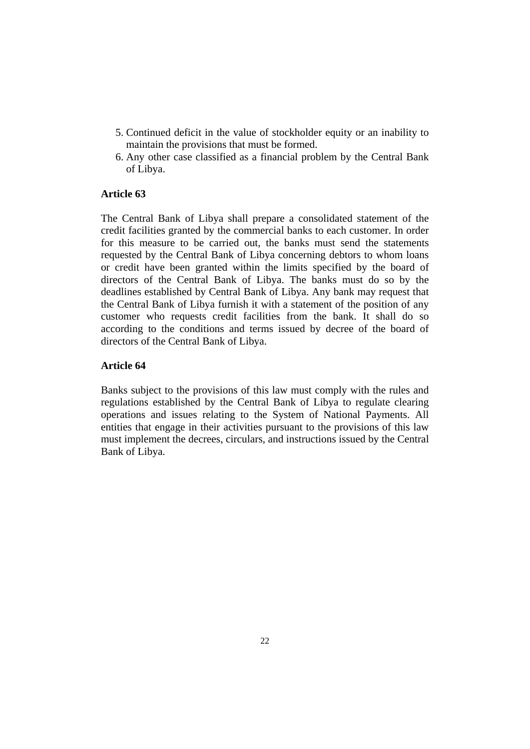- 5. Continued deficit in the value of stockholder equity or an inability to maintain the provisions that must be formed.
- 6. Any other case classified as a financial problem by the Central Bank of Libya.

The Central Bank of Libya shall prepare a consolidated statement of the credit facilities granted by the commercial banks to each customer. In order for this measure to be carried out, the banks must send the statements requested by the Central Bank of Libya concerning debtors to whom loans or credit have been granted within the limits specified by the board of directors of the Central Bank of Libya. The banks must do so by the deadlines established by Central Bank of Libya. Any bank may request that the Central Bank of Libya furnish it with a statement of the position of any customer who requests credit facilities from the bank. It shall do so according to the conditions and terms issued by decree of the board of directors of the Central Bank of Libya.

# **Article 64**

Banks subject to the provisions of this law must comply with the rules and regulations established by the Central Bank of Libya to regulate clearing operations and issues relating to the System of National Payments. All entities that engage in their activities pursuant to the provisions of this law must implement the decrees, circulars, and instructions issued by the Central Bank of Libya.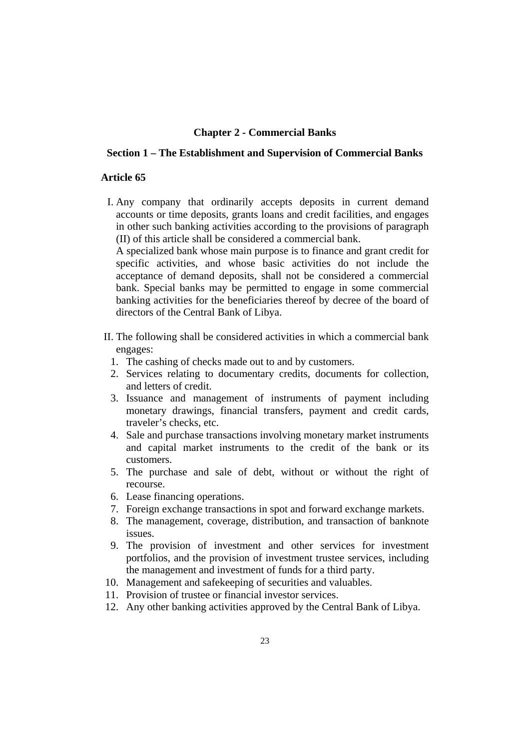### **Chapter 2 - Commercial Banks**

### **Section 1 – The Establishment and Supervision of Commercial Banks**

#### **Article 65**

I. Any company that ordinarily accepts deposits in current demand accounts or time deposits, grants loans and credit facilities, and engages in other such banking activities according to the provisions of paragraph (II) of this article shall be considered a commercial bank.

A specialized bank whose main purpose is to finance and grant credit for specific activities, and whose basic activities do not include the acceptance of demand deposits, shall not be considered a commercial bank. Special banks may be permitted to engage in some commercial banking activities for the beneficiaries thereof by decree of the board of directors of the Central Bank of Libya.

- II. The following shall be considered activities in which a commercial bank engages:
	- 1. The cashing of checks made out to and by customers.
	- 2. Services relating to documentary credits, documents for collection, and letters of credit.
	- 3. Issuance and management of instruments of payment including monetary drawings, financial transfers, payment and credit cards, traveler's checks, etc.
	- 4. Sale and purchase transactions involving monetary market instruments and capital market instruments to the credit of the bank or its customers.
	- 5. The purchase and sale of debt, without or without the right of recourse.
	- 6. Lease financing operations.
	- 7. Foreign exchange transactions in spot and forward exchange markets.
	- 8. The management, coverage, distribution, and transaction of banknote issues.
	- 9. The provision of investment and other services for investment portfolios, and the provision of investment trustee services, including the management and investment of funds for a third party.
- 10. Management and safekeeping of securities and valuables.
- 11. Provision of trustee or financial investor services.
- 12. Any other banking activities approved by the Central Bank of Libya.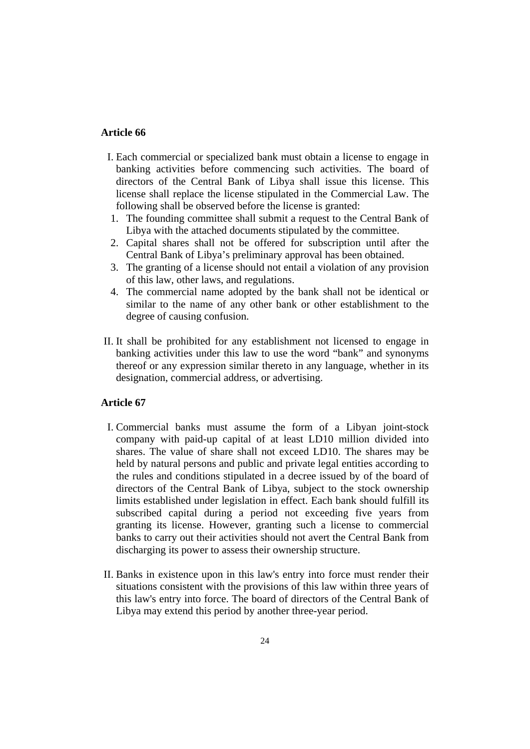- I. Each commercial or specialized bank must obtain a license to engage in banking activities before commencing such activities. The board of directors of the Central Bank of Libya shall issue this license. This license shall replace the license stipulated in the Commercial Law. The following shall be observed before the license is granted:
- 1. The founding committee shall submit a request to the Central Bank of Libya with the attached documents stipulated by the committee.
- 2. Capital shares shall not be offered for subscription until after the Central Bank of Libya's preliminary approval has been obtained.
- 3. The granting of a license should not entail a violation of any provision of this law, other laws, and regulations.
- 4. The commercial name adopted by the bank shall not be identical or similar to the name of any other bank or other establishment to the degree of causing confusion.
- II. It shall be prohibited for any establishment not licensed to engage in banking activities under this law to use the word "bank" and synonyms thereof or any expression similar thereto in any language, whether in its designation, commercial address, or advertising.

- I. Commercial banks must assume the form of a Libyan joint-stock company with paid-up capital of at least LD10 million divided into shares. The value of share shall not exceed LD10. The shares may be held by natural persons and public and private legal entities according to the rules and conditions stipulated in a decree issued by of the board of directors of the Central Bank of Libya, subject to the stock ownership limits established under legislation in effect. Each bank should fulfill its subscribed capital during a period not exceeding five years from granting its license. However, granting such a license to commercial banks to carry out their activities should not avert the Central Bank from discharging its power to assess their ownership structure.
- II. Banks in existence upon in this law's entry into force must render their situations consistent with the provisions of this law within three years of this law's entry into force. The board of directors of the Central Bank of Libya may extend this period by another three-year period.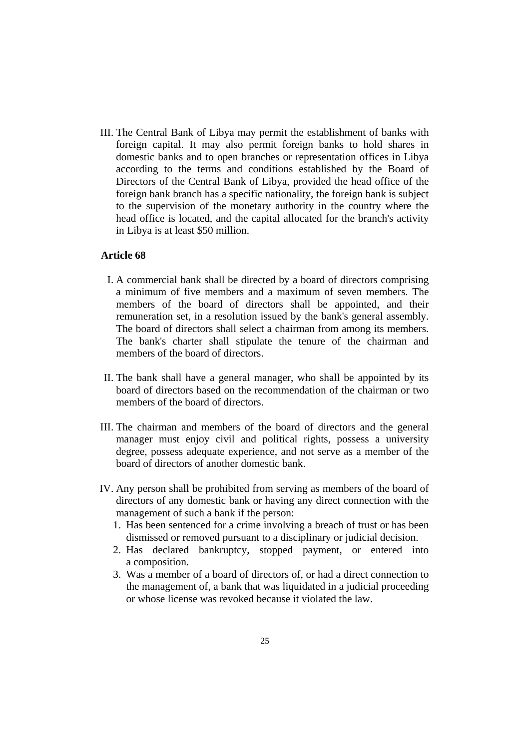III. The Central Bank of Libya may permit the establishment of banks with foreign capital. It may also permit foreign banks to hold shares in domestic banks and to open branches or representation offices in Libya according to the terms and conditions established by the Board of Directors of the Central Bank of Libya, provided the head office of the foreign bank branch has a specific nationality, the foreign bank is subject to the supervision of the monetary authority in the country where the head office is located, and the capital allocated for the branch's activity in Libya is at least \$50 million.

- I. A commercial bank shall be directed by a board of directors comprising a minimum of five members and a maximum of seven members. The members of the board of directors shall be appointed, and their remuneration set, in a resolution issued by the bank's general assembly. The board of directors shall select a chairman from among its members. The bank's charter shall stipulate the tenure of the chairman and members of the board of directors.
- II. The bank shall have a general manager, who shall be appointed by its board of directors based on the recommendation of the chairman or two members of the board of directors.
- III. The chairman and members of the board of directors and the general manager must enjoy civil and political rights, possess a university degree, possess adequate experience, and not serve as a member of the board of directors of another domestic bank.
- IV. Any person shall be prohibited from serving as members of the board of directors of any domestic bank or having any direct connection with the management of such a bank if the person:
	- 1. Has been sentenced for a crime involving a breach of trust or has been dismissed or removed pursuant to a disciplinary or judicial decision.
	- 2. Has declared bankruptcy, stopped payment, or entered into a composition.
	- 3. Was a member of a board of directors of, or had a direct connection to the management of, a bank that was liquidated in a judicial proceeding or whose license was revoked because it violated the law.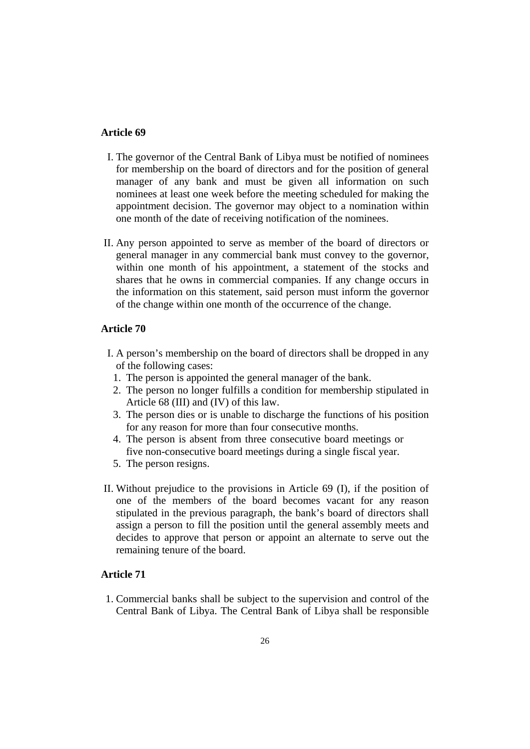- I. The governor of the Central Bank of Libya must be notified of nominees for membership on the board of directors and for the position of general manager of any bank and must be given all information on such nominees at least one week before the meeting scheduled for making the appointment decision. The governor may object to a nomination within one month of the date of receiving notification of the nominees.
- II. Any person appointed to serve as member of the board of directors or general manager in any commercial bank must convey to the governor, within one month of his appointment, a statement of the stocks and shares that he owns in commercial companies. If any change occurs in the information on this statement, said person must inform the governor of the change within one month of the occurrence of the change.

# **Article 70**

- I. A person's membership on the board of directors shall be dropped in any of the following cases:
	- 1. The person is appointed the general manager of the bank.
	- 2. The person no longer fulfills a condition for membership stipulated in Article 68 (III) and (IV) of this law.
	- 3. The person dies or is unable to discharge the functions of his position for any reason for more than four consecutive months.
	- 4. The person is absent from three consecutive board meetings or five non-consecutive board meetings during a single fiscal year.
	- 5. The person resigns.
- II. Without prejudice to the provisions in Article 69 (I), if the position of one of the members of the board becomes vacant for any reason stipulated in the previous paragraph, the bank's board of directors shall assign a person to fill the position until the general assembly meets and decides to approve that person or appoint an alternate to serve out the remaining tenure of the board.

# **Article 71**

 1. Commercial banks shall be subject to the supervision and control of the Central Bank of Libya. The Central Bank of Libya shall be responsible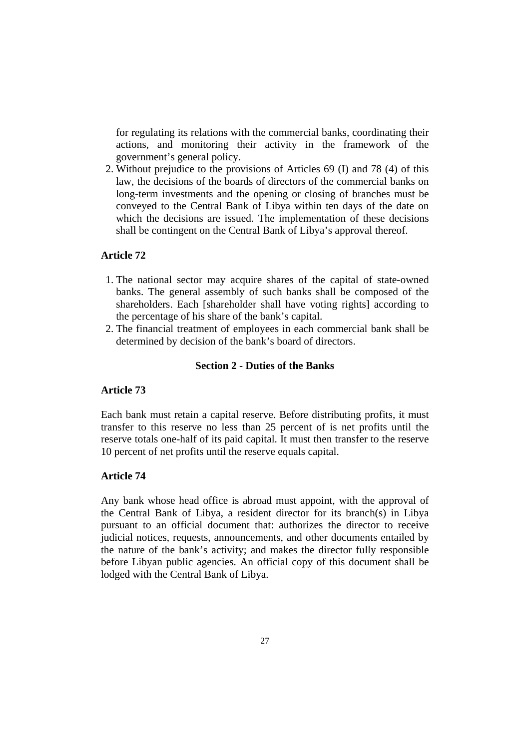for regulating its relations with the commercial banks, coordinating their actions, and monitoring their activity in the framework of the government's general policy.

 2. Without prejudice to the provisions of Articles 69 (I) and 78 (4) of this law, the decisions of the boards of directors of the commercial banks on long-term investments and the opening or closing of branches must be conveyed to the Central Bank of Libya within ten days of the date on which the decisions are issued. The implementation of these decisions shall be contingent on the Central Bank of Libya's approval thereof.

### **Article 72**

- 1. The national sector may acquire shares of the capital of state-owned banks. The general assembly of such banks shall be composed of the shareholders. Each [shareholder shall have voting rights] according to the percentage of his share of the bank's capital.
- 2. The financial treatment of employees in each commercial bank shall be determined by decision of the bank's board of directors.

# **Section 2 - Duties of the Banks**

### **Article 73**

Each bank must retain a capital reserve. Before distributing profits, it must transfer to this reserve no less than 25 percent of is net profits until the reserve totals one-half of its paid capital. It must then transfer to the reserve 10 percent of net profits until the reserve equals capital.

# **Article 74**

Any bank whose head office is abroad must appoint, with the approval of the Central Bank of Libya, a resident director for its branch(s) in Libya pursuant to an official document that: authorizes the director to receive judicial notices, requests, announcements, and other documents entailed by the nature of the bank's activity; and makes the director fully responsible before Libyan public agencies. An official copy of this document shall be lodged with the Central Bank of Libya.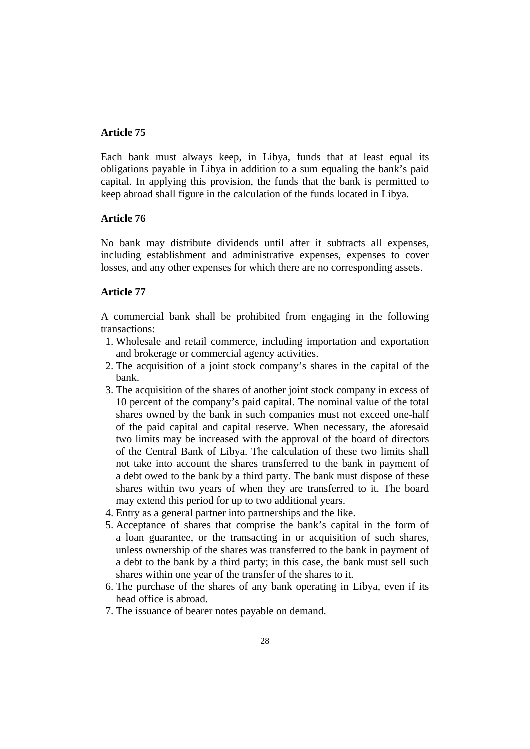Each bank must always keep, in Libya, funds that at least equal its obligations payable in Libya in addition to a sum equaling the bank's paid capital. In applying this provision, the funds that the bank is permitted to keep abroad shall figure in the calculation of the funds located in Libya.

# **Article 76**

No bank may distribute dividends until after it subtracts all expenses, including establishment and administrative expenses, expenses to cover losses, and any other expenses for which there are no corresponding assets.

# **Article 77**

A commercial bank shall be prohibited from engaging in the following transactions:

- 1. Wholesale and retail commerce, including importation and exportation and brokerage or commercial agency activities.
- 2. The acquisition of a joint stock company's shares in the capital of the bank.
- 3. The acquisition of the shares of another joint stock company in excess of 10 percent of the company's paid capital. The nominal value of the total shares owned by the bank in such companies must not exceed one-half of the paid capital and capital reserve. When necessary, the aforesaid two limits may be increased with the approval of the board of directors of the Central Bank of Libya. The calculation of these two limits shall not take into account the shares transferred to the bank in payment of a debt owed to the bank by a third party. The bank must dispose of these shares within two years of when they are transferred to it. The board may extend this period for up to two additional years.
- 4. Entry as a general partner into partnerships and the like.
- 5. Acceptance of shares that comprise the bank's capital in the form of a loan guarantee, or the transacting in or acquisition of such shares, unless ownership of the shares was transferred to the bank in payment of a debt to the bank by a third party; in this case, the bank must sell such shares within one year of the transfer of the shares to it.
- 6. The purchase of the shares of any bank operating in Libya, even if its head office is abroad.
- 7. The issuance of bearer notes payable on demand.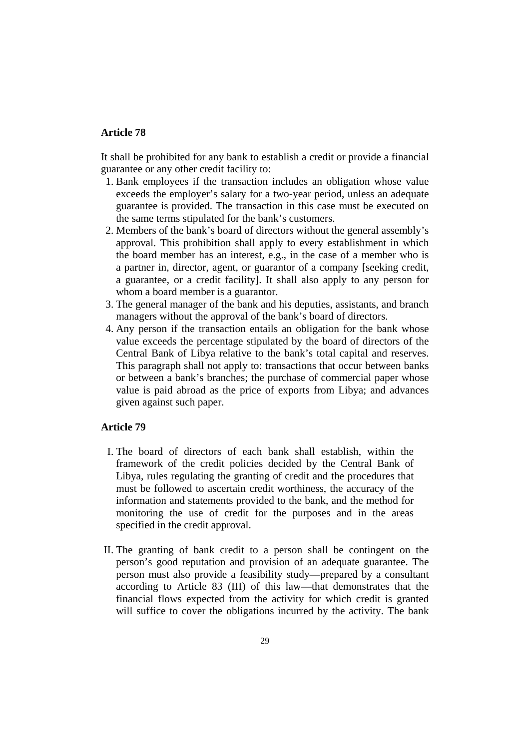It shall be prohibited for any bank to establish a credit or provide a financial guarantee or any other credit facility to:

- 1. Bank employees if the transaction includes an obligation whose value exceeds the employer's salary for a two-year period, unless an adequate guarantee is provided. The transaction in this case must be executed on the same terms stipulated for the bank's customers.
- 2. Members of the bank's board of directors without the general assembly's approval. This prohibition shall apply to every establishment in which the board member has an interest, e.g., in the case of a member who is a partner in, director, agent, or guarantor of a company [seeking credit, a guarantee, or a credit facility]. It shall also apply to any person for whom a board member is a guarantor.
- 3. The general manager of the bank and his deputies, assistants, and branch managers without the approval of the bank's board of directors.
- 4. Any person if the transaction entails an obligation for the bank whose value exceeds the percentage stipulated by the board of directors of the Central Bank of Libya relative to the bank's total capital and reserves. This paragraph shall not apply to: transactions that occur between banks or between a bank's branches; the purchase of commercial paper whose value is paid abroad as the price of exports from Libya; and advances given against such paper.

- I. The board of directors of each bank shall establish, within the framework of the credit policies decided by the Central Bank of Libya, rules regulating the granting of credit and the procedures that must be followed to ascertain credit worthiness, the accuracy of the information and statements provided to the bank, and the method for monitoring the use of credit for the purposes and in the areas specified in the credit approval.
- II. The granting of bank credit to a person shall be contingent on the person's good reputation and provision of an adequate guarantee. The person must also provide a feasibility study—prepared by a consultant according to Article 83 (III) of this law—that demonstrates that the financial flows expected from the activity for which credit is granted will suffice to cover the obligations incurred by the activity. The bank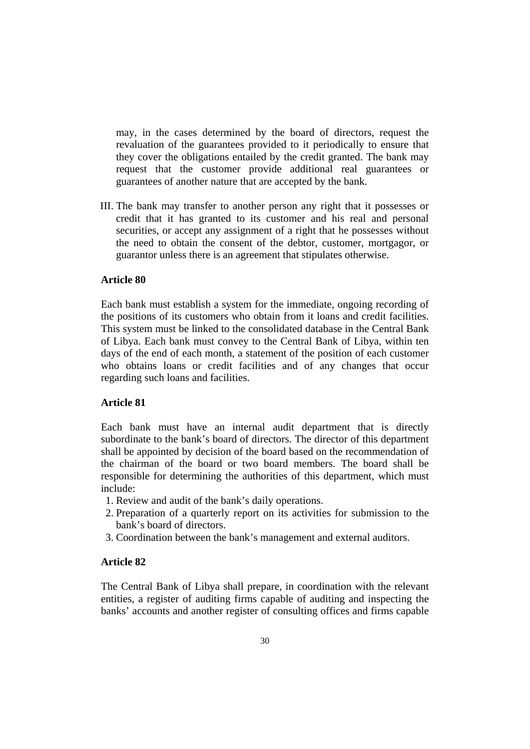may, in the cases determined by the board of directors, request the revaluation of the guarantees provided to it periodically to ensure that they cover the obligations entailed by the credit granted. The bank may request that the customer provide additional real guarantees or guarantees of another nature that are accepted by the bank.

III. The bank may transfer to another person any right that it possesses or credit that it has granted to its customer and his real and personal securities, or accept any assignment of a right that he possesses without the need to obtain the consent of the debtor, customer, mortgagor, or guarantor unless there is an agreement that stipulates otherwise.

### **Article 80**

Each bank must establish a system for the immediate, ongoing recording of the positions of its customers who obtain from it loans and credit facilities. This system must be linked to the consolidated database in the Central Bank of Libya. Each bank must convey to the Central Bank of Libya, within ten days of the end of each month, a statement of the position of each customer who obtains loans or credit facilities and of any changes that occur regarding such loans and facilities.

### **Article 81**

Each bank must have an internal audit department that is directly subordinate to the bank's board of directors. The director of this department shall be appointed by decision of the board based on the recommendation of the chairman of the board or two board members. The board shall be responsible for determining the authorities of this department, which must include:

- 1. Review and audit of the bank's daily operations.
- 2. Preparation of a quarterly report on its activities for submission to the bank's board of directors.
- 3. Coordination between the bank's management and external auditors.

#### **Article 82**

The Central Bank of Libya shall prepare, in coordination with the relevant entities, a register of auditing firms capable of auditing and inspecting the banks' accounts and another register of consulting offices and firms capable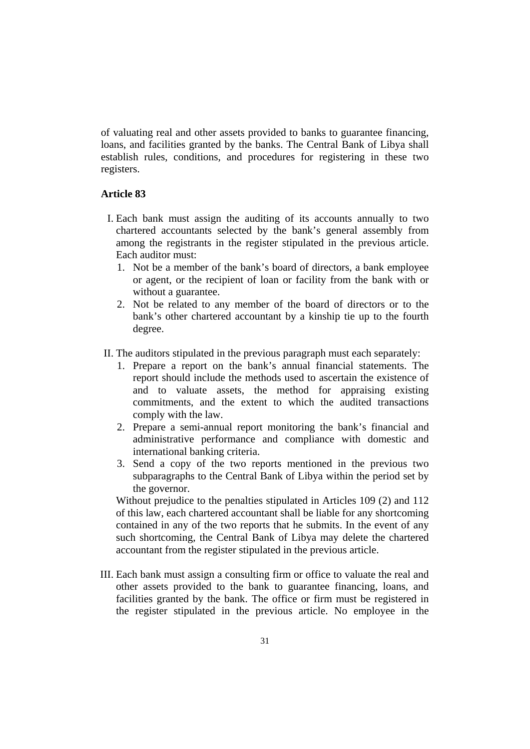of valuating real and other assets provided to banks to guarantee financing, loans, and facilities granted by the banks. The Central Bank of Libya shall establish rules, conditions, and procedures for registering in these two registers.

### **Article 83**

- I. Each bank must assign the auditing of its accounts annually to two chartered accountants selected by the bank's general assembly from among the registrants in the register stipulated in the previous article. Each auditor must:
	- 1. Not be a member of the bank's board of directors, a bank employee or agent, or the recipient of loan or facility from the bank with or without a guarantee.
	- 2. Not be related to any member of the board of directors or to the bank's other chartered accountant by a kinship tie up to the fourth degree.
- II. The auditors stipulated in the previous paragraph must each separately:
	- 1. Prepare a report on the bank's annual financial statements. The report should include the methods used to ascertain the existence of and to valuate assets, the method for appraising existing commitments, and the extent to which the audited transactions comply with the law.
	- 2. Prepare a semi-annual report monitoring the bank's financial and administrative performance and compliance with domestic and international banking criteria.
	- 3. Send a copy of the two reports mentioned in the previous two subparagraphs to the Central Bank of Libya within the period set by the governor.

Without prejudice to the penalties stipulated in Articles 109 (2) and 112 of this law, each chartered accountant shall be liable for any shortcoming contained in any of the two reports that he submits. In the event of any such shortcoming, the Central Bank of Libya may delete the chartered accountant from the register stipulated in the previous article.

III. Each bank must assign a consulting firm or office to valuate the real and other assets provided to the bank to guarantee financing, loans, and facilities granted by the bank. The office or firm must be registered in the register stipulated in the previous article. No employee in the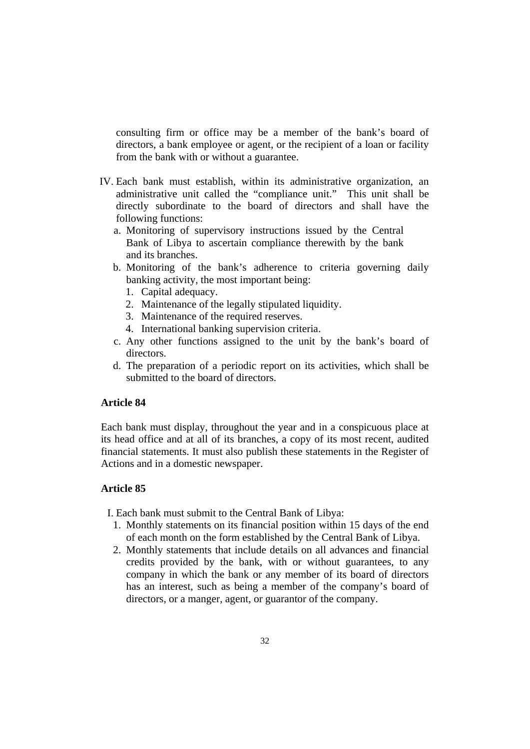consulting firm or office may be a member of the bank's board of directors, a bank employee or agent, or the recipient of a loan or facility from the bank with or without a guarantee.

- IV. Each bank must establish, within its administrative organization, an administrative unit called the "compliance unit." This unit shall be directly subordinate to the board of directors and shall have the following functions:
	- a. Monitoring of supervisory instructions issued by the Central Bank of Libya to ascertain compliance therewith by the bank and its branches.
	- b. Monitoring of the bank's adherence to criteria governing daily banking activity, the most important being:
		- 1. Capital adequacy.
		- 2. Maintenance of the legally stipulated liquidity.
		- 3. Maintenance of the required reserves.
		- 4. International banking supervision criteria.
	- c. Any other functions assigned to the unit by the bank's board of directors.
	- d. The preparation of a periodic report on its activities, which shall be submitted to the board of directors.

### **Article 84**

Each bank must display, throughout the year and in a conspicuous place at its head office and at all of its branches, a copy of its most recent, audited financial statements. It must also publish these statements in the Register of Actions and in a domestic newspaper.

## **Article 85**

I. Each bank must submit to the Central Bank of Libya:

- 1. Monthly statements on its financial position within 15 days of the end of each month on the form established by the Central Bank of Libya.
- 2. Monthly statements that include details on all advances and financial credits provided by the bank, with or without guarantees, to any company in which the bank or any member of its board of directors has an interest, such as being a member of the company's board of directors, or a manger, agent, or guarantor of the company.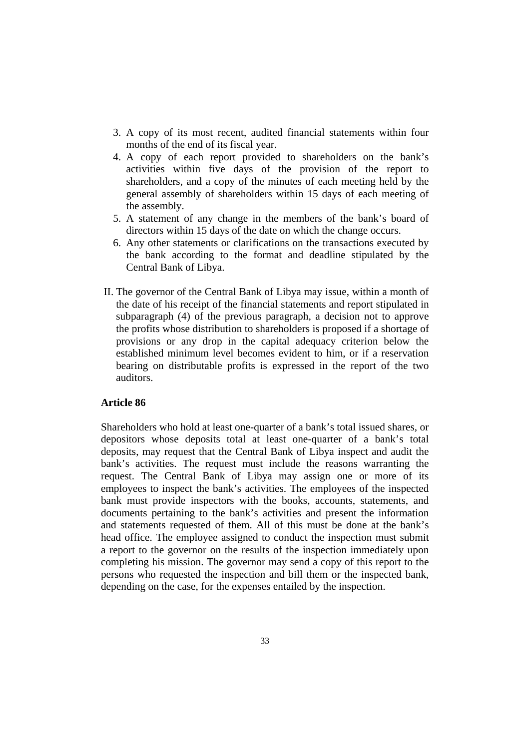- 3. A copy of its most recent, audited financial statements within four months of the end of its fiscal year.
- 4. A copy of each report provided to shareholders on the bank's activities within five days of the provision of the report to shareholders, and a copy of the minutes of each meeting held by the general assembly of shareholders within 15 days of each meeting of the assembly.
- 5. A statement of any change in the members of the bank's board of directors within 15 days of the date on which the change occurs.
- 6. Any other statements or clarifications on the transactions executed by the bank according to the format and deadline stipulated by the Central Bank of Libya.
- II. The governor of the Central Bank of Libya may issue, within a month of the date of his receipt of the financial statements and report stipulated in subparagraph (4) of the previous paragraph, a decision not to approve the profits whose distribution to shareholders is proposed if a shortage of provisions or any drop in the capital adequacy criterion below the established minimum level becomes evident to him, or if a reservation bearing on distributable profits is expressed in the report of the two auditors.

Shareholders who hold at least one-quarter of a bank's total issued shares, or depositors whose deposits total at least one-quarter of a bank's total deposits, may request that the Central Bank of Libya inspect and audit the bank's activities. The request must include the reasons warranting the request. The Central Bank of Libya may assign one or more of its employees to inspect the bank's activities. The employees of the inspected bank must provide inspectors with the books, accounts, statements, and documents pertaining to the bank's activities and present the information and statements requested of them. All of this must be done at the bank's head office. The employee assigned to conduct the inspection must submit a report to the governor on the results of the inspection immediately upon completing his mission. The governor may send a copy of this report to the persons who requested the inspection and bill them or the inspected bank, depending on the case, for the expenses entailed by the inspection.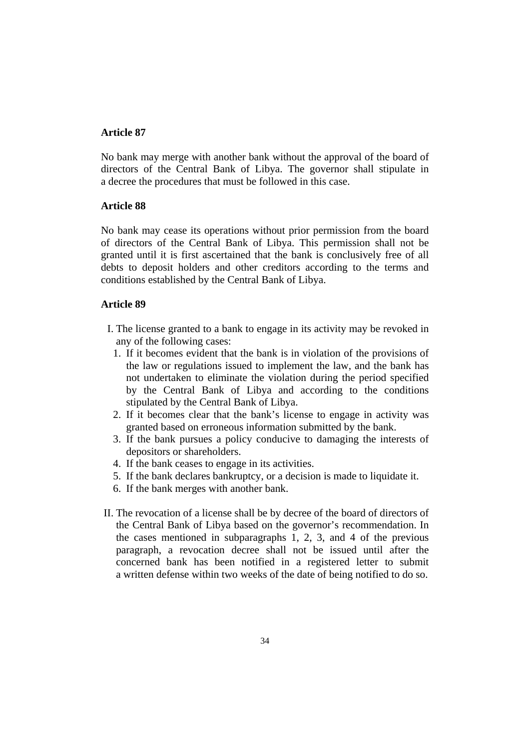No bank may merge with another bank without the approval of the board of directors of the Central Bank of Libya. The governor shall stipulate in a decree the procedures that must be followed in this case.

## **Article 88**

No bank may cease its operations without prior permission from the board of directors of the Central Bank of Libya. This permission shall not be granted until it is first ascertained that the bank is conclusively free of all debts to deposit holders and other creditors according to the terms and conditions established by the Central Bank of Libya.

- I. The license granted to a bank to engage in its activity may be revoked in any of the following cases:
	- 1. If it becomes evident that the bank is in violation of the provisions of the law or regulations issued to implement the law, and the bank has not undertaken to eliminate the violation during the period specified by the Central Bank of Libya and according to the conditions stipulated by the Central Bank of Libya.
	- 2. If it becomes clear that the bank's license to engage in activity was granted based on erroneous information submitted by the bank.
	- 3. If the bank pursues a policy conducive to damaging the interests of depositors or shareholders.
	- 4. If the bank ceases to engage in its activities.
	- 5. If the bank declares bankruptcy, or a decision is made to liquidate it.
	- 6. If the bank merges with another bank.
- II. The revocation of a license shall be by decree of the board of directors of the Central Bank of Libya based on the governor's recommendation. In the cases mentioned in subparagraphs 1, 2, 3, and 4 of the previous paragraph, a revocation decree shall not be issued until after the concerned bank has been notified in a registered letter to submit a written defense within two weeks of the date of being notified to do so.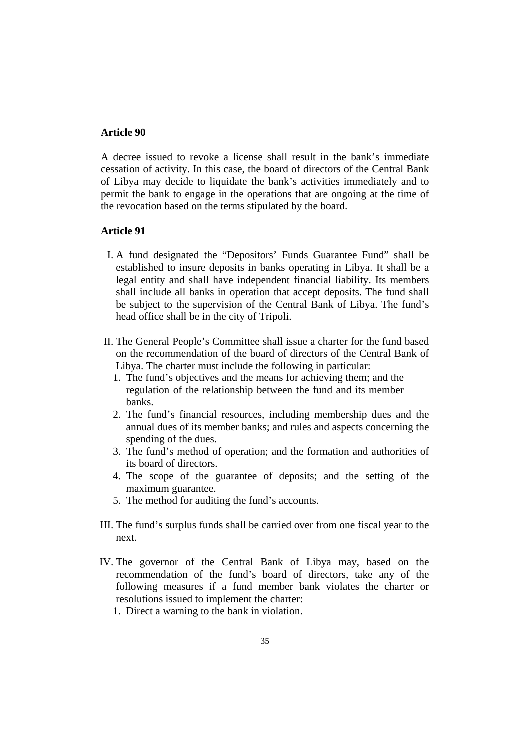A decree issued to revoke a license shall result in the bank's immediate cessation of activity. In this case, the board of directors of the Central Bank of Libya may decide to liquidate the bank's activities immediately and to permit the bank to engage in the operations that are ongoing at the time of the revocation based on the terms stipulated by the board.

- I. A fund designated the "Depositors' Funds Guarantee Fund" shall be established to insure deposits in banks operating in Libya. It shall be a legal entity and shall have independent financial liability. Its members shall include all banks in operation that accept deposits. The fund shall be subject to the supervision of the Central Bank of Libya. The fund's head office shall be in the city of Tripoli.
- II. The General People's Committee shall issue a charter for the fund based on the recommendation of the board of directors of the Central Bank of Libya. The charter must include the following in particular:
	- 1. The fund's objectives and the means for achieving them; and the regulation of the relationship between the fund and its member banks.
	- 2. The fund's financial resources, including membership dues and the annual dues of its member banks; and rules and aspects concerning the spending of the dues.
	- 3. The fund's method of operation; and the formation and authorities of its board of directors.
	- 4. The scope of the guarantee of deposits; and the setting of the maximum guarantee.
	- 5. The method for auditing the fund's accounts.
- III. The fund's surplus funds shall be carried over from one fiscal year to the next.
- IV. The governor of the Central Bank of Libya may, based on the recommendation of the fund's board of directors, take any of the following measures if a fund member bank violates the charter or resolutions issued to implement the charter:
	- 1. Direct a warning to the bank in violation.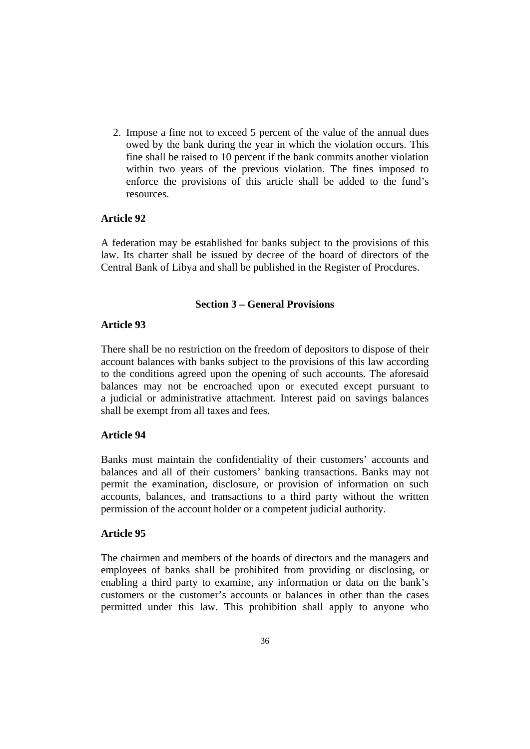2. Impose a fine not to exceed 5 percent of the value of the annual dues owed by the bank during the year in which the violation occurs. This fine shall be raised to 10 percent if the bank commits another violation within two years of the previous violation. The fines imposed to enforce the provisions of this article shall be added to the fund's resources.

# **Article 92**

A federation may be established for banks subject to the provisions of this law. Its charter shall be issued by decree of the board of directors of the Central Bank of Libya and shall be published in the Register of Procdures.

#### **Section 3 – General Provisions**

### **Article 93**

There shall be no restriction on the freedom of depositors to dispose of their account balances with banks subject to the provisions of this law according to the conditions agreed upon the opening of such accounts. The aforesaid balances may not be encroached upon or executed except pursuant to a judicial or administrative attachment. Interest paid on savings balances shall be exempt from all taxes and fees.

# **Article 94**

Banks must maintain the confidentiality of their customers' accounts and balances and all of their customers' banking transactions. Banks may not permit the examination, disclosure, or provision of information on such accounts, balances, and transactions to a third party without the written permission of the account holder or a competent judicial authority.

#### **Article 95**

The chairmen and members of the boards of directors and the managers and employees of banks shall be prohibited from providing or disclosing, or enabling a third party to examine, any information or data on the bank's customers or the customer's accounts or balances in other than the cases permitted under this law. This prohibition shall apply to anyone who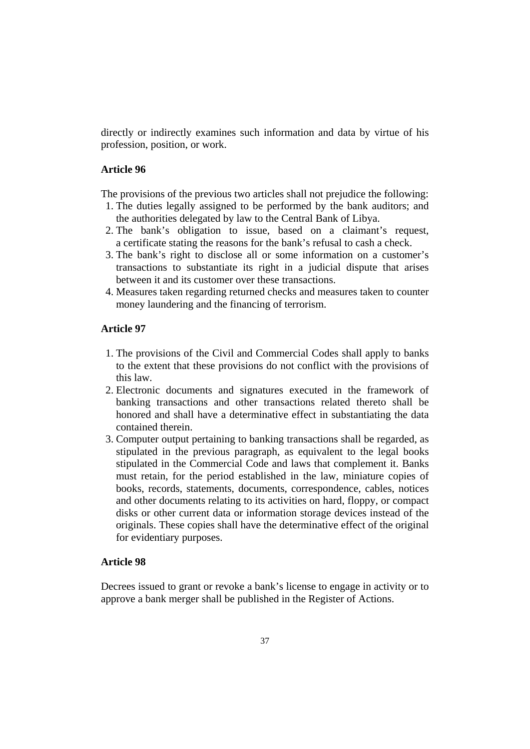directly or indirectly examines such information and data by virtue of his profession, position, or work.

### **Article 96**

The provisions of the previous two articles shall not prejudice the following:

- 1. The duties legally assigned to be performed by the bank auditors; and the authorities delegated by law to the Central Bank of Libya.
- 2. The bank's obligation to issue, based on a claimant's request, a certificate stating the reasons for the bank's refusal to cash a check.
- 3. The bank's right to disclose all or some information on a customer's transactions to substantiate its right in a judicial dispute that arises between it and its customer over these transactions.
- 4. Measures taken regarding returned checks and measures taken to counter money laundering and the financing of terrorism.

# **Article 97**

- 1. The provisions of the Civil and Commercial Codes shall apply to banks to the extent that these provisions do not conflict with the provisions of this law.
- 2. Electronic documents and signatures executed in the framework of banking transactions and other transactions related thereto shall be honored and shall have a determinative effect in substantiating the data contained therein.
- 3. Computer output pertaining to banking transactions shall be regarded, as stipulated in the previous paragraph, as equivalent to the legal books stipulated in the Commercial Code and laws that complement it. Banks must retain, for the period established in the law, miniature copies of books, records, statements, documents, correspondence, cables, notices and other documents relating to its activities on hard, floppy, or compact disks or other current data or information storage devices instead of the originals. These copies shall have the determinative effect of the original for evidentiary purposes.

### **Article 98**

Decrees issued to grant or revoke a bank's license to engage in activity or to approve a bank merger shall be published in the Register of Actions.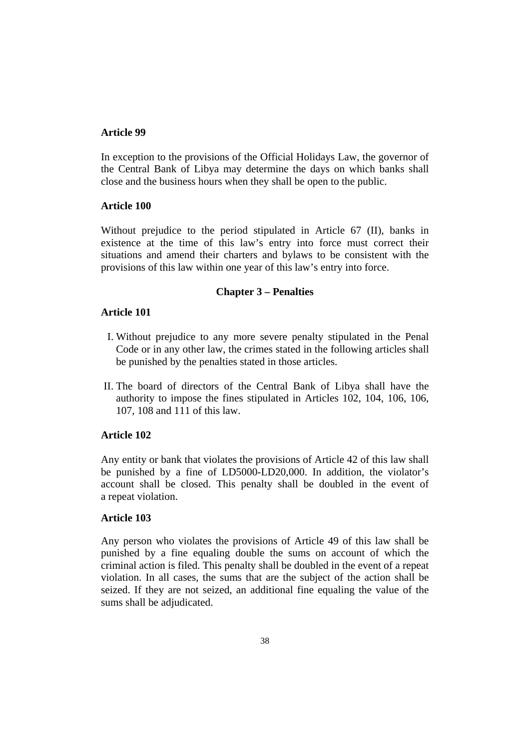In exception to the provisions of the Official Holidays Law, the governor of the Central Bank of Libya may determine the days on which banks shall close and the business hours when they shall be open to the public.

## **Article 100**

Without prejudice to the period stipulated in Article 67 (II), banks in existence at the time of this law's entry into force must correct their situations and amend their charters and bylaws to be consistent with the provisions of this law within one year of this law's entry into force.

# **Chapter 3 – Penalties**

## **Article 101**

- I. Without prejudice to any more severe penalty stipulated in the Penal Code or in any other law, the crimes stated in the following articles shall be punished by the penalties stated in those articles.
- II. The board of directors of the Central Bank of Libya shall have the authority to impose the fines stipulated in Articles 102, 104, 106, 106, 107, 108 and 111 of this law.

# **Article 102**

Any entity or bank that violates the provisions of Article 42 of this law shall be punished by a fine of LD5000-LD20,000. In addition, the violator's account shall be closed. This penalty shall be doubled in the event of a repeat violation.

# **Article 103**

Any person who violates the provisions of Article 49 of this law shall be punished by a fine equaling double the sums on account of which the criminal action is filed. This penalty shall be doubled in the event of a repeat violation. In all cases, the sums that are the subject of the action shall be seized. If they are not seized, an additional fine equaling the value of the sums shall be adjudicated.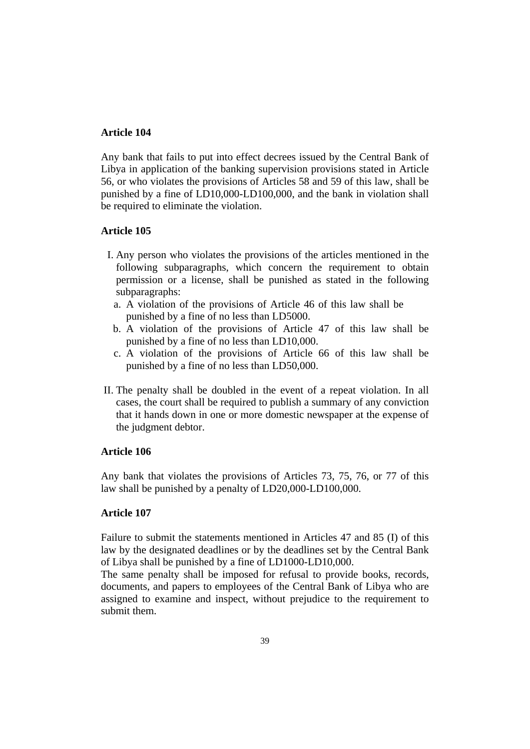Any bank that fails to put into effect decrees issued by the Central Bank of Libya in application of the banking supervision provisions stated in Article 56, or who violates the provisions of Articles 58 and 59 of this law, shall be punished by a fine of LD10,000-LD100,000, and the bank in violation shall be required to eliminate the violation.

## **Article 105**

- I. Any person who violates the provisions of the articles mentioned in the following subparagraphs, which concern the requirement to obtain permission or a license, shall be punished as stated in the following subparagraphs:
	- a. A violation of the provisions of Article 46 of this law shall be punished by a fine of no less than LD5000.
	- b. A violation of the provisions of Article 47 of this law shall be punished by a fine of no less than LD10,000.
	- c. A violation of the provisions of Article 66 of this law shall be punished by a fine of no less than LD50,000.
- II. The penalty shall be doubled in the event of a repeat violation. In all cases, the court shall be required to publish a summary of any conviction that it hands down in one or more domestic newspaper at the expense of the judgment debtor.

### **Article 106**

Any bank that violates the provisions of Articles 73, 75, 76, or 77 of this law shall be punished by a penalty of LD20,000-LD100,000.

### **Article 107**

Failure to submit the statements mentioned in Articles 47 and 85 (I) of this law by the designated deadlines or by the deadlines set by the Central Bank of Libya shall be punished by a fine of LD1000-LD10,000.

The same penalty shall be imposed for refusal to provide books, records, documents, and papers to employees of the Central Bank of Libya who are assigned to examine and inspect, without prejudice to the requirement to submit them.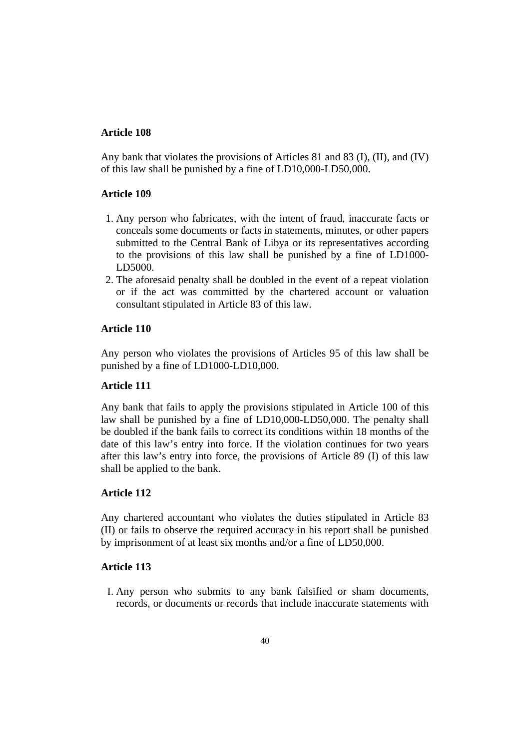Any bank that violates the provisions of Articles 81 and 83 (I), (II), and (IV) of this law shall be punished by a fine of LD10,000-LD50,000.

## **Article 109**

- 1. Any person who fabricates, with the intent of fraud, inaccurate facts or conceals some documents or facts in statements, minutes, or other papers submitted to the Central Bank of Libya or its representatives according to the provisions of this law shall be punished by a fine of LD1000- LD5000.
- 2. The aforesaid penalty shall be doubled in the event of a repeat violation or if the act was committed by the chartered account or valuation consultant stipulated in Article 83 of this law.

# **Article 110**

Any person who violates the provisions of Articles 95 of this law shall be punished by a fine of LD1000-LD10,000.

### **Article 111**

Any bank that fails to apply the provisions stipulated in Article 100 of this law shall be punished by a fine of LD10,000-LD50,000. The penalty shall be doubled if the bank fails to correct its conditions within 18 months of the date of this law's entry into force. If the violation continues for two years after this law's entry into force, the provisions of Article 89 (I) of this law shall be applied to the bank.

# **Article 112**

Any chartered accountant who violates the duties stipulated in Article 83 (II) or fails to observe the required accuracy in his report shall be punished by imprisonment of at least six months and/or a fine of LD50,000.

### **Article 113**

I. Any person who submits to any bank falsified or sham documents, records, or documents or records that include inaccurate statements with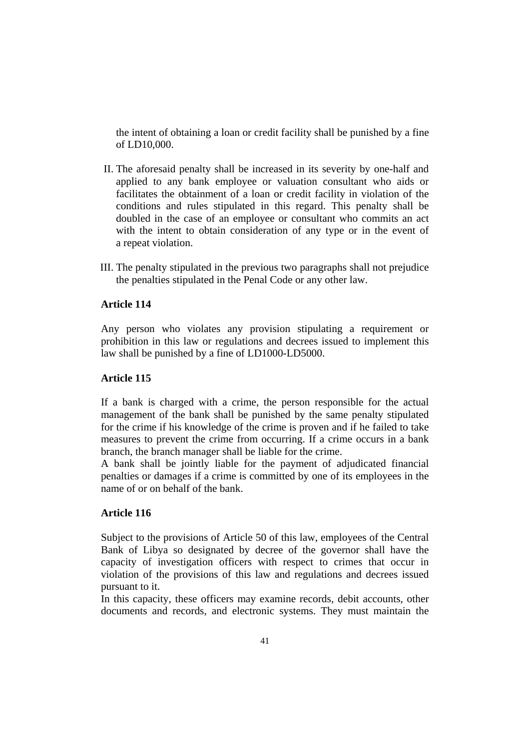the intent of obtaining a loan or credit facility shall be punished by a fine of LD10,000.

- II. The aforesaid penalty shall be increased in its severity by one-half and applied to any bank employee or valuation consultant who aids or facilitates the obtainment of a loan or credit facility in violation of the conditions and rules stipulated in this regard. This penalty shall be doubled in the case of an employee or consultant who commits an act with the intent to obtain consideration of any type or in the event of a repeat violation.
- III. The penalty stipulated in the previous two paragraphs shall not prejudice the penalties stipulated in the Penal Code or any other law.

## **Article 114**

Any person who violates any provision stipulating a requirement or prohibition in this law or regulations and decrees issued to implement this law shall be punished by a fine of LD1000-LD5000.

# **Article 115**

If a bank is charged with a crime, the person responsible for the actual management of the bank shall be punished by the same penalty stipulated for the crime if his knowledge of the crime is proven and if he failed to take measures to prevent the crime from occurring. If a crime occurs in a bank branch, the branch manager shall be liable for the crime.

A bank shall be jointly liable for the payment of adjudicated financial penalties or damages if a crime is committed by one of its employees in the name of or on behalf of the bank.

# **Article 116**

Subject to the provisions of Article 50 of this law, employees of the Central Bank of Libya so designated by decree of the governor shall have the capacity of investigation officers with respect to crimes that occur in violation of the provisions of this law and regulations and decrees issued pursuant to it.

In this capacity, these officers may examine records, debit accounts, other documents and records, and electronic systems. They must maintain the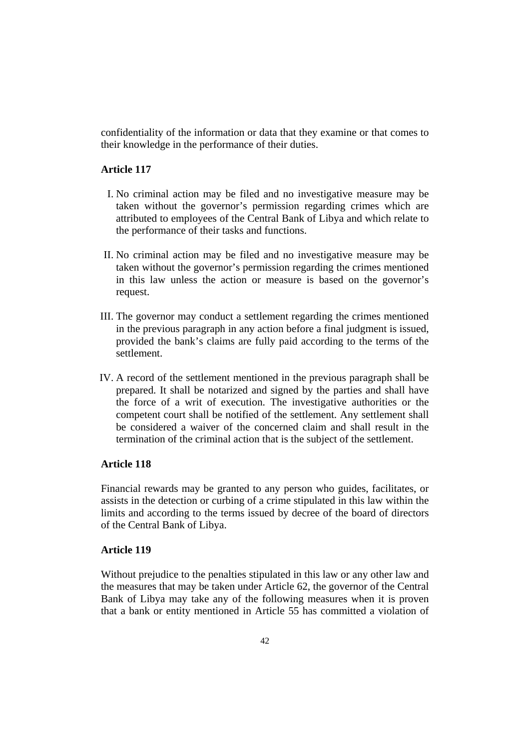confidentiality of the information or data that they examine or that comes to their knowledge in the performance of their duties.

### **Article 117**

- I. No criminal action may be filed and no investigative measure may be taken without the governor's permission regarding crimes which are attributed to employees of the Central Bank of Libya and which relate to the performance of their tasks and functions.
- II. No criminal action may be filed and no investigative measure may be taken without the governor's permission regarding the crimes mentioned in this law unless the action or measure is based on the governor's request.
- III. The governor may conduct a settlement regarding the crimes mentioned in the previous paragraph in any action before a final judgment is issued, provided the bank's claims are fully paid according to the terms of the settlement.
- IV. A record of the settlement mentioned in the previous paragraph shall be prepared. It shall be notarized and signed by the parties and shall have the force of a writ of execution. The investigative authorities or the competent court shall be notified of the settlement. Any settlement shall be considered a waiver of the concerned claim and shall result in the termination of the criminal action that is the subject of the settlement.

# **Article 118**

Financial rewards may be granted to any person who guides, facilitates, or assists in the detection or curbing of a crime stipulated in this law within the limits and according to the terms issued by decree of the board of directors of the Central Bank of Libya.

# **Article 119**

Without prejudice to the penalties stipulated in this law or any other law and the measures that may be taken under Article 62, the governor of the Central Bank of Libya may take any of the following measures when it is proven that a bank or entity mentioned in Article 55 has committed a violation of